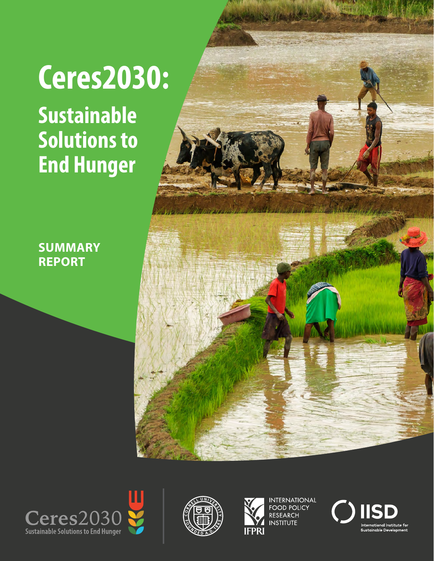# **Ceres2030:**

**Sustainable Solutions to End Hunger**

**SUMMARY REPORT**









INTERNATIONAL<br>FOOD POLICY **RESEARCH INSTITUTE** 

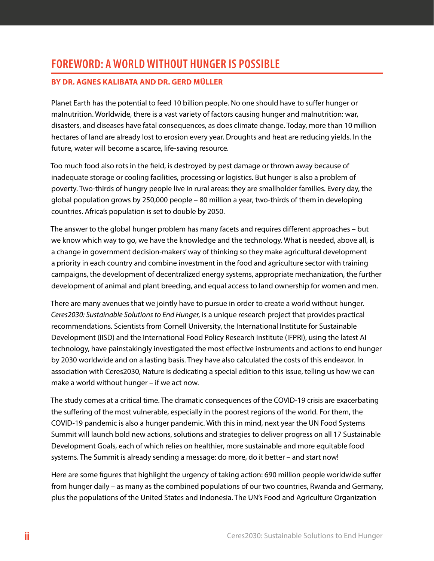# **FOREWORD: A WORLD WITHOUT HUNGER IS POSSIBLE**

#### **BY DR. AGNES KALIBATA AND DR. GERD MÜLLER**

Planet Earth has the potential to feed 10 billion people. No one should have to suffer hunger or malnutrition. Worldwide, there is a vast variety of factors causing hunger and malnutrition: war, disasters, and diseases have fatal consequences, as does climate change. Today, more than 10 million hectares of land are already lost to erosion every year. Droughts and heat are reducing yields. In the future, water will become a scarce, life-saving resource.

Too much food also rots in the field, is destroyed by pest damage or thrown away because of inadequate storage or cooling facilities, processing or logistics. But hunger is also a problem of poverty. Two-thirds of hungry people live in rural areas: they are smallholder families. Every day, the global population grows by 250,000 people – 80 million a year, two-thirds of them in developing countries. Africa's population is set to double by 2050.

The answer to the global hunger problem has many facets and requires different approaches – but we know which way to go, we have the knowledge and the technology. What is needed, above all, is a change in government decision-makers' way of thinking so they make agricultural development a priority in each country and combine investment in the food and agriculture sector with training campaigns, the development of decentralized energy systems, appropriate mechanization, the further development of animal and plant breeding, and equal access to land ownership for women and men.

There are many avenues that we jointly have to pursue in order to create a world without hunger. *Ceres2030: Sustainable Solutions to End Hunger,* is a unique research project that provides practical recommendations. Scientists from Cornell University, the International Institute for Sustainable Development (IISD) and the International Food Policy Research Institute (IFPRI), using the latest AI technology, have painstakingly investigated the most effective instruments and actions to end hunger by 2030 worldwide and on a lasting basis. They have also calculated the costs of this endeavor. In association with Ceres2030, Nature is dedicating a special edition to this issue, telling us how we can make a world without hunger – if we act now.

The study comes at a critical time. The dramatic consequences of the COVID-19 crisis are exacerbating the suffering of the most vulnerable, especially in the poorest regions of the world. For them, the COVID-19 pandemic is also a hunger pandemic. With this in mind, next year the UN Food Systems Summit will launch bold new actions, solutions and strategies to deliver progress on all 17 Sustainable Development Goals, each of which relies on healthier, more sustainable and more equitable food systems. The Summit is already sending a message: do more, do it better – and start now!

Here are some figures that highlight the urgency of taking action: 690 million people worldwide suffer from hunger daily – as many as the combined populations of our two countries, Rwanda and Germany, plus the populations of the United States and Indonesia. The UN's Food and Agriculture Organization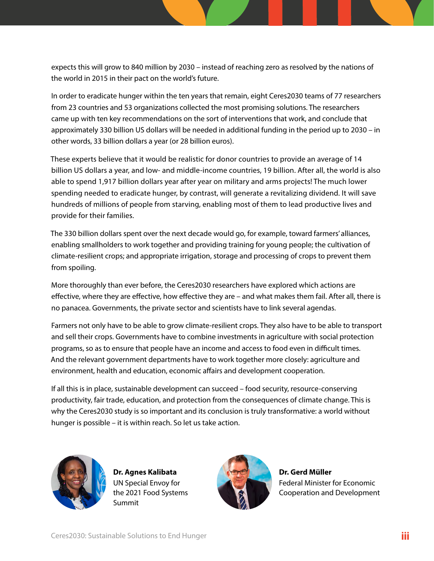expects this will grow to 840 million by 2030 – instead of reaching zero as resolved by the nations of the world in 2015 in their pact on the world's future.

In order to eradicate hunger within the ten years that remain, eight Ceres2030 teams of 77 researchers from 23 countries and 53 organizations collected the most promising solutions. The researchers came up with ten key recommendations on the sort of interventions that work, and conclude that approximately 330 billion US dollars will be needed in additional funding in the period up to 2030 – in other words, 33 billion dollars a year (or 28 billion euros).

These experts believe that it would be realistic for donor countries to provide an average of 14 billion US dollars a year, and low- and middle-income countries, 19 billion. After all, the world is also able to spend 1,917 billion dollars year after year on military and arms projects! The much lower spending needed to eradicate hunger, by contrast, will generate a revitalizing dividend. It will save hundreds of millions of people from starving, enabling most of them to lead productive lives and provide for their families.

The 330 billion dollars spent over the next decade would go, for example, toward farmers' alliances, enabling smallholders to work together and providing training for young people; the cultivation of climate-resilient crops; and appropriate irrigation, storage and processing of crops to prevent them from spoiling.

More thoroughly than ever before, the Ceres2030 researchers have explored which actions are effective, where they are effective, how effective they are – and what makes them fail. After all, there is no panacea. Governments, the private sector and scientists have to link several agendas.

Farmers not only have to be able to grow climate-resilient crops. They also have to be able to transport and sell their crops. Governments have to combine investments in agriculture with social protection programs, so as to ensure that people have an income and access to food even in difficult times. And the relevant government departments have to work together more closely: agriculture and environment, health and education, economic affairs and development cooperation.

If all this is in place, sustainable development can succeed – food security, resource-conserving productivity, fair trade, education, and protection from the consequences of climate change. This is why the Ceres2030 study is so important and its conclusion is truly transformative: a world without hunger is possible – it is within reach. So let us take action.



**Dr. Agnes Kalibata** UN Special Envoy for the 2021 Food Systems Summit



**Dr. Gerd Müller** Federal Minister for Economic Cooperation and Development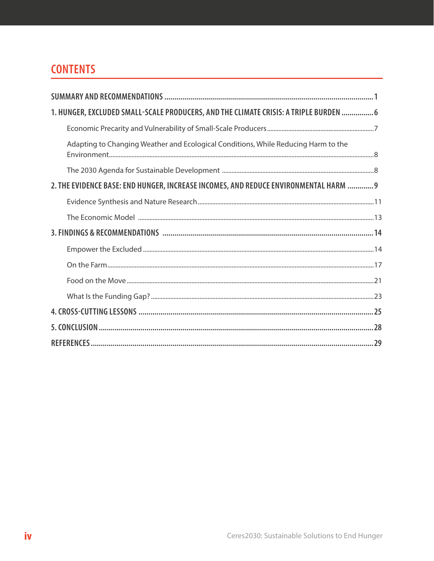# **CONTENTS**

| 1. HUNGER, EXCLUDED SMALL-SCALE PRODUCERS, AND THE CLIMATE CRISIS: A TRIPLE BURDEN  6 |  |
|---------------------------------------------------------------------------------------|--|
|                                                                                       |  |
| Adapting to Changing Weather and Ecological Conditions, While Reducing Harm to the    |  |
|                                                                                       |  |
| 2. THE EVIDENCE BASE: END HUNGER, INCREASE INCOMES, AND REDUCE ENVIRONMENTAL HARM  9  |  |
|                                                                                       |  |
|                                                                                       |  |
|                                                                                       |  |
|                                                                                       |  |
|                                                                                       |  |
|                                                                                       |  |
|                                                                                       |  |
|                                                                                       |  |
|                                                                                       |  |
|                                                                                       |  |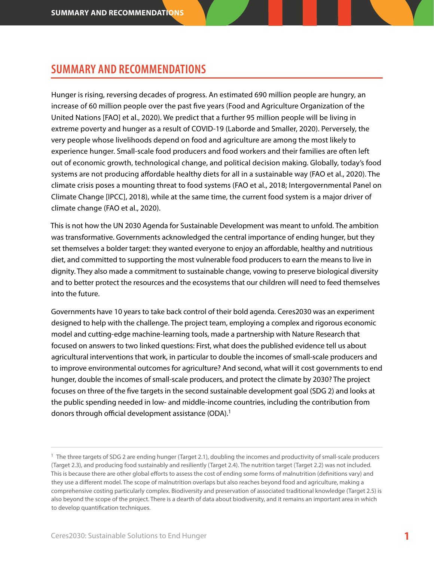## <span id="page-4-0"></span>**SUMMARY AND RECOMMENDATIONS**

Hunger is rising, reversing decades of progress. An estimated 690 million people are hungry, an increase of 60 million people over the past five years (Food and Agriculture Organization of the United Nations [FAO] et al., 2020). We predict that a further 95 million people will be living in extreme poverty and hunger as a result of COVID-19 (Laborde and Smaller, 2020). Perversely, the very people whose livelihoods depend on food and agriculture are among the most likely to experience hunger. Small-scale food producers and food workers and their families are often left out of economic growth, technological change, and political decision making. Globally, today's food systems are not producing affordable healthy diets for all in a sustainable way (FAO et al., 2020). The climate crisis poses a mounting threat to food systems (FAO et al., 2018; Intergovernmental Panel on Climate Change [IPCC], 2018), while at the same time, the current food system is a major driver of climate change (FAO et al., 2020).

This is not how the UN 2030 Agenda for Sustainable Development was meant to unfold. The ambition was transformative. Governments acknowledged the central importance of ending hunger, but they set themselves a bolder target: they wanted everyone to enjoy an affordable, healthy and nutritious diet, and committed to supporting the most vulnerable food producers to earn the means to live in dignity. They also made a commitment to sustainable change, vowing to preserve biological diversity and to better protect the resources and the ecosystems that our children will need to feed themselves into the future.

Governments have 10 years to take back control of their bold agenda. Ceres2030 was an experiment designed to help with the challenge. The project team, employing a complex and rigorous economic model and cutting-edge machine-learning tools, made a partnership with Nature Research that focused on answers to two linked questions: First, what does the published evidence tell us about agricultural interventions that work, in particular to double the incomes of small-scale producers and to improve environmental outcomes for agriculture? And second, what will it cost governments to end hunger, double the incomes of small-scale producers, and protect the climate by 2030? The project focuses on three of the five targets in the second sustainable development goal (SDG 2) and looks at the public spending needed in low- and middle-income countries, including the contribution from donors through official development assistance (ODA).<sup>1</sup>

<sup>&</sup>lt;sup>1</sup> The three targets of SDG 2 are ending hunger (Target 2.1), doubling the incomes and productivity of small-scale producers (Target 2.3), and producing food sustainably and resiliently (Target 2.4). The nutrition target (Target 2.2) was not included. This is because there are other global efforts to assess the cost of ending some forms of malnutrition (definitions vary) and they use a different model. The scope of malnutrition overlaps but also reaches beyond food and agriculture, making a comprehensive costing particularly complex. Biodiversity and preservation of associated traditional knowledge (Target 2.5) is also beyond the scope of the project. There is a dearth of data about biodiversity, and it remains an important area in which to develop quantification techniques.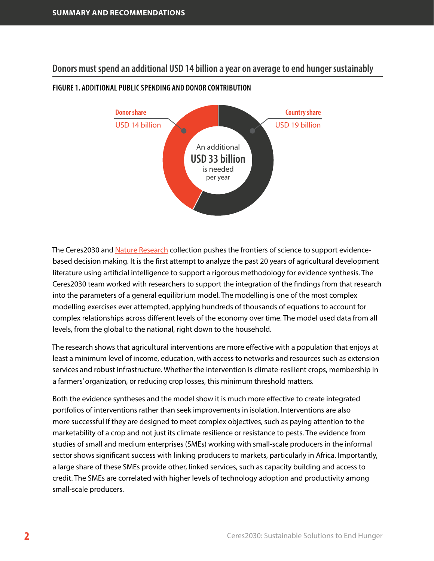**Donors must spend an additional USD 14 billion a year on average to end hunger sustainably** 



#### **FIGURE 1. ADDITIONAL PUBLIC SPENDING AND DONOR CONTRIBUTION**

The Ceres2030 and [Nature Research](https://www.nature.com/collections/end-hunger) collection pushes the frontiers of science to support evidencebased decision making. It is the first attempt to analyze the past 20 years of agricultural development literature using artificial intelligence to support a rigorous methodology for evidence synthesis. The Ceres2030 team worked with researchers to support the integration of the findings from that research into the parameters of a general equilibrium model. The modelling is one of the most complex modelling exercises ever attempted, applying hundreds of thousands of equations to account for complex relationships across different levels of the economy over time. The model used data from all levels, from the global to the national, right down to the household.

The research shows that agricultural interventions are more effective with a population that enjoys at least a minimum level of income, education, with access to networks and resources such as extension services and robust infrastructure. Whether the intervention is climate-resilient crops, membership in a farmers' organization, or reducing crop losses, this minimum threshold matters.

Both the evidence syntheses and the model show it is much more effective to create integrated portfolios of interventions rather than seek improvements in isolation. Interventions are also more successful if they are designed to meet complex objectives, such as paying attention to the marketability of a crop and not just its climate resilience or resistance to pests. The evidence from studies of small and medium enterprises (SMEs) working with small-scale producers in the informal sector shows significant success with linking producers to markets, particularly in Africa. Importantly, a large share of these SMEs provide other, linked services, such as capacity building and access to credit. The SMEs are correlated with higher levels of technology adoption and productivity among small-scale producers.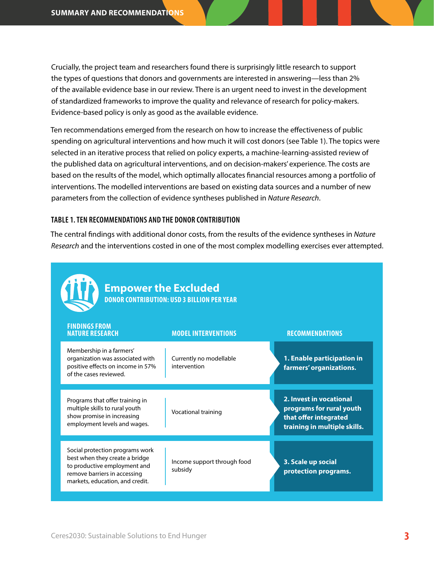Crucially, the project team and researchers found there is surprisingly little research to support the types of questions that donors and governments are interested in answering—less than 2% of the available evidence base in our review. There is an urgent need to invest in the development of standardized frameworks to improve the quality and relevance of research for policy-makers. Evidence-based policy is only as good as the available evidence.

Ten recommendations emerged from the research on how to increase the effectiveness of public spending on agricultural interventions and how much it will cost donors (see Table 1). The topics were selected in an iterative process that relied on policy experts, a machine-learning-assisted review of the published data on agricultural interventions, and on decision-makers' experience. The costs are based on the results of the model, which optimally allocates financial resources among a portfolio of interventions. The modelled interventions are based on existing data sources and a number of new parameters from the collection of evidence syntheses published in *Nature Research*.

#### **TABLE 1. TEN RECOMMENDATIONS AND THE DONOR CONTRIBUTION**

The central findings with additional donor costs, from the results of the evidence syntheses in *Nature Research* and the interventions costed in one of the most complex modelling exercises ever attempted.

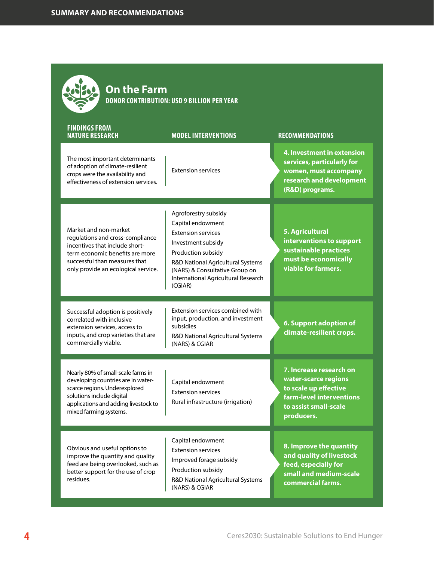| <b>On the Farm</b><br>DONOR CONTRIBUTION: USD 9 BILLION PER YEAR                                                                                                                                         |                                                                                                                                                                                                                                             |                                                                                                                                             |  |
|----------------------------------------------------------------------------------------------------------------------------------------------------------------------------------------------------------|---------------------------------------------------------------------------------------------------------------------------------------------------------------------------------------------------------------------------------------------|---------------------------------------------------------------------------------------------------------------------------------------------|--|
| <b>FINDINGS FROM</b><br><b>NATURE RESEARCH</b>                                                                                                                                                           | <b>MODEL INTERVENTIONS</b>                                                                                                                                                                                                                  | <b>RECOMMENDATIONS</b>                                                                                                                      |  |
| The most important determinants<br>of adoption of climate-resilient<br>crops were the availability and<br>effectiveness of extension services.                                                           | <b>Extension services</b>                                                                                                                                                                                                                   | 4. Investment in extension<br>services, particularly for<br>women, must accompany<br>research and development<br>(R&D) programs.            |  |
| Market and non-market<br>regulations and cross-compliance<br>incentives that include short-<br>term economic benefits are more<br>successful than measures that<br>only provide an ecological service.   | Agroforestry subsidy<br>Capital endowment<br><b>Extension services</b><br>Investment subsidy<br>Production subsidy<br>R&D National Agricultural Systems<br>(NARS) & Consultative Group on<br>International Agricultural Research<br>(CGIAR) | 5. Agricultural<br>interventions to support<br>sustainable practices<br>must be economically<br>viable for farmers.                         |  |
| Successful adoption is positively<br>correlated with inclusive<br>extension services, access to<br>inputs, and crop varieties that are<br>commercially viable.                                           | Extension services combined with<br>input, production, and investment<br>subsidies<br>R&D National Agricultural Systems<br>(NARS) & CGIAR                                                                                                   | 6. Support adoption of<br>climate-resilient crops.                                                                                          |  |
| Nearly 80% of small-scale farms in<br>developing countries are in water-<br>scarce regions. Underexplored<br>solutions include digital<br>applications and adding livestock to<br>mixed farming systems. | Capital endowment<br><b>Extension services</b><br>Rural infrastructure (irrigation)                                                                                                                                                         | 7. Increase research on<br>water-scarce regions<br>to scale up effective<br>farm-level interventions<br>to assist small-scale<br>producers. |  |
| Obvious and useful options to<br>improve the quantity and quality<br>feed are being overlooked, such as<br>better support for the use of crop<br>residues.                                               | Capital endowment<br><b>Extension services</b><br>Improved forage subsidy<br>Production subsidy<br>R&D National Agricultural Systems<br>(NARS) & CGIAR                                                                                      | 8. Improve the quantity<br>and quality of livestock<br>feed, especially for<br>small and medium-scale<br>commercial farms.                  |  |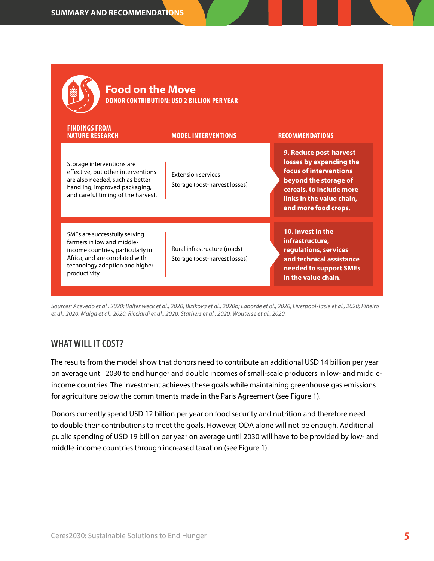| <b>Food on the Move</b><br><b>DONOR CONTRIBUTION: USD 2 BILLION PER YEAR</b>                                                                                                           |                                                               |                                                                                                                                                                                       |  |  |
|----------------------------------------------------------------------------------------------------------------------------------------------------------------------------------------|---------------------------------------------------------------|---------------------------------------------------------------------------------------------------------------------------------------------------------------------------------------|--|--|
| <b>FINDINGS FROM</b><br><b>NATURE RESEARCH</b>                                                                                                                                         | <b>MODEL INTERVENTIONS</b>                                    | <b>RECOMMENDATIONS</b>                                                                                                                                                                |  |  |
| Storage interventions are<br>effective, but other interventions<br>are also needed, such as better<br>handling, improved packaging,<br>and careful timing of the harvest.              | <b>Extension services</b><br>Storage (post-harvest losses)    | 9. Reduce post-harvest<br>losses by expanding the<br>focus of interventions<br>beyond the storage of<br>cereals, to include more<br>links in the value chain,<br>and more food crops. |  |  |
| SMEs are successfully serving<br>farmers in low and middle-<br>income countries, particularly in<br>Africa, and are correlated with<br>technology adoption and higher<br>productivity. | Rural infrastructure (roads)<br>Storage (post-harvest losses) | 10. Invest in the<br>infrastructure,<br>regulations, services<br>and technical assistance<br>needed to support SMEs<br>in the value chain.                                            |  |  |

*Sources: Acevedo et al., 2020; Baltenweck et al., 2020; Bizikova et al., 2020b; Laborde et al., 2020; Liverpool-Tasie et al., 2020; Piñeiro et al., 2020; Maiga et al., 2020; Ricciardi et al., 2020; Stathers et al., 2020; Wouterse et al., 2020.*

## **WHAT WILL IT COST?**

The results from the model show that donors need to contribute an additional USD 14 billion per year on average until 2030 to end hunger and double incomes of small-scale producers in low- and middleincome countries. The investment achieves these goals while maintaining greenhouse gas emissions for agriculture below the commitments made in the Paris Agreement (see Figure 1).

Donors currently spend USD 12 billion per year on food security and nutrition and therefore need to double their contributions to meet the goals. However, ODA alone will not be enough. Additional public spending of USD 19 billion per year on average until 2030 will have to be provided by low- and middle-income countries through increased taxation (see Figure 1).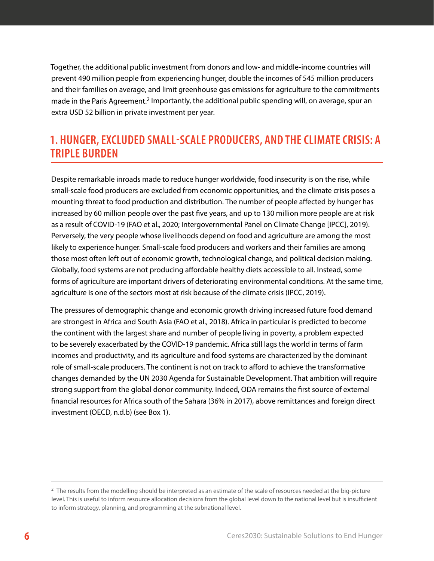<span id="page-9-0"></span>Together, the additional public investment from donors and low- and middle-income countries will prevent 490 million people from experiencing hunger, double the incomes of 545 million producers and their families on average, and limit greenhouse gas emissions for agriculture to the commitments made in the Paris Agreement.<sup>2</sup> Importantly, the additional public spending will, on average, spur an extra USD 52 billion in private investment per year.

# **1. HUNGER, EXCLUDED SMALL-SCALE PRODUCERS, AND THE CLIMATE CRISIS: A TRIPLE BURDEN**

Despite remarkable inroads made to reduce hunger worldwide, food insecurity is on the rise, while small-scale food producers are excluded from economic opportunities, and the climate crisis poses a mounting threat to food production and distribution. The number of people affected by hunger has increased by 60 million people over the past five years, and up to 130 million more people are at risk as a result of COVID-19 (FAO et al., 2020; Intergovernmental Panel on Climate Change [IPCC], 2019). Perversely, the very people whose livelihoods depend on food and agriculture are among the most likely to experience hunger. Small-scale food producers and workers and their families are among those most often left out of economic growth, technological change, and political decision making. Globally, food systems are not producing affordable healthy diets accessible to all. Instead, some forms of agriculture are important drivers of deteriorating environmental conditions. At the same time, agriculture is one of the sectors most at risk because of the climate crisis (IPCC, 2019).

The pressures of demographic change and economic growth driving increased future food demand are strongest in Africa and South Asia (FAO et al., 2018). Africa in particular is predicted to become the continent with the largest share and number of people living in poverty, a problem expected to be severely exacerbated by the COVID-19 pandemic. Africa still lags the world in terms of farm incomes and productivity, and its agriculture and food systems are characterized by the dominant role of small-scale producers. The continent is not on track to afford to achieve the transformative changes demanded by the UN 2030 Agenda for Sustainable Development. That ambition will require strong support from the global donor community. Indeed, ODA remains the first source of external financial resources for Africa south of the Sahara (36% in 2017), above remittances and foreign direct investment (OECD, n.d.b) (see Box 1).

<sup>&</sup>lt;sup>2</sup> The results from the modelling should be interpreted as an estimate of the scale of resources needed at the big-picture level. This is useful to inform resource allocation decisions from the global level down to the national level but is insufficient to inform strategy, planning, and programming at the subnational level.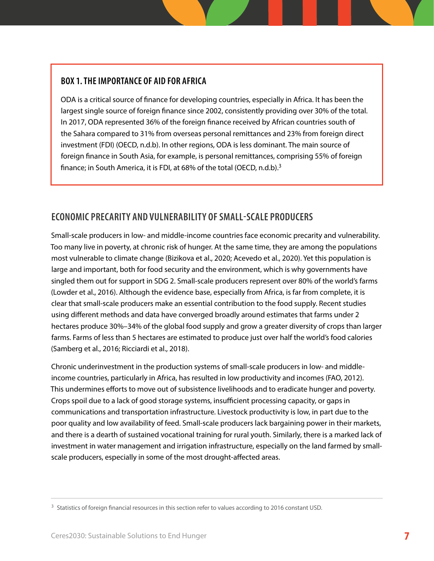## <span id="page-10-0"></span>**BOX 1. THE IMPORTANCE OF AID FOR AFRICA**

ODA is a critical source of finance for developing countries, especially in Africa. It has been the largest single source of foreign finance since 2002, consistently providing over 30% of the total. In 2017, ODA represented 36% of the foreign finance received by African countries south of the Sahara compared to 31% from overseas personal remittances and 23% from foreign direct investment (FDI) (OECD, n.d.b). In other regions, ODA is less dominant. The main source of foreign finance in South Asia, for example, is personal remittances, comprising 55% of foreign finance; in South America, it is FDI, at 68% of the total (OECD, n.d.b).3

## **ECONOMIC PRECARITY AND VULNERABILITY OF SMALL-SCALE PRODUCERS**

Small-scale producers in low- and middle-income countries face economic precarity and vulnerability. Too many live in poverty, at chronic risk of hunger. At the same time, they are among the populations most vulnerable to climate change (Bizikova et al., 2020; Acevedo et al., 2020). Yet this population is large and important, both for food security and the environment, which is why governments have singled them out for support in SDG 2. Small-scale producers represent over 80% of the world's farms (Lowder et al., 2016). Although the evidence base, especially from Africa, is far from complete, it is clear that small-scale producers make an essential contribution to the food supply. Recent studies using different methods and data have converged broadly around estimates that farms under 2 hectares produce 30%–34% of the global food supply and grow a greater diversity of crops than larger farms. Farms of less than 5 hectares are estimated to produce just over half the world's food calories (Samberg et al., 2016; Ricciardi et al., 2018).

Chronic underinvestment in the production systems of small-scale producers in low- and middleincome countries, particularly in Africa, has resulted in low productivity and incomes (FAO, 2012). This undermines efforts to move out of subsistence livelihoods and to eradicate hunger and poverty. Crops spoil due to a lack of good storage systems, insufficient processing capacity, or gaps in communications and transportation infrastructure. Livestock productivity is low, in part due to the poor quality and low availability of feed. Small-scale producers lack bargaining power in their markets, and there is a dearth of sustained vocational training for rural youth. Similarly, there is a marked lack of investment in water management and irrigation infrastructure, especially on the land farmed by smallscale producers, especially in some of the most drought-affected areas.

<sup>&</sup>lt;sup>3</sup> Statistics of foreign financial resources in this section refer to values according to 2016 constant USD.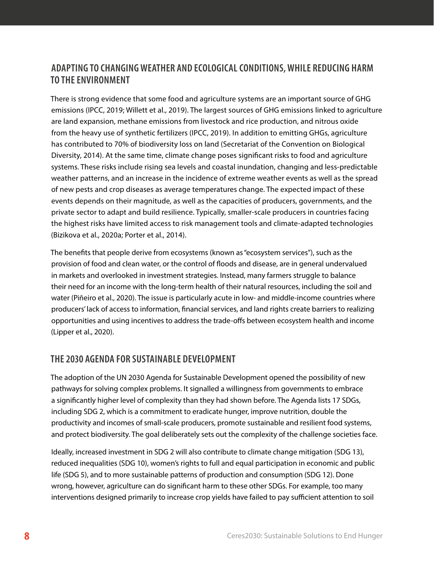## <span id="page-11-0"></span>**ADAPTING TO CHANGING WEATHER AND ECOLOGICAL CONDITIONS, WHILE REDUCING HARM TO THE ENVIRONMENT**

There is strong evidence that some food and agriculture systems are an important source of GHG emissions (IPCC, 2019; Willett et al., 2019). The largest sources of GHG emissions linked to agriculture are land expansion, methane emissions from livestock and rice production, and nitrous oxide from the heavy use of synthetic fertilizers (IPCC, 2019). In addition to emitting GHGs, agriculture has contributed to 70% of biodiversity loss on land (Secretariat of the Convention on Biological Diversity, 2014). At the same time, climate change poses significant risks to food and agriculture systems. These risks include rising sea levels and coastal inundation, changing and less-predictable weather patterns, and an increase in the incidence of extreme weather events as well as the spread of new pests and crop diseases as average temperatures change. The expected impact of these events depends on their magnitude, as well as the capacities of producers, governments, and the private sector to adapt and build resilience. Typically, smaller-scale producers in countries facing the highest risks have limited access to risk management tools and climate-adapted technologies (Bizikova et al., 2020a; Porter et al., 2014).

The benefits that people derive from ecosystems (known as "ecosystem services"), such as the provision of food and clean water, or the control of floods and disease, are in general undervalued in markets and overlooked in investment strategies. Instead, many farmers struggle to balance their need for an income with the long-term health of their natural resources, including the soil and water (Piñeiro et al., 2020). The issue is particularly acute in low- and middle-income countries where producers' lack of access to information, financial services, and land rights create barriers to realizing opportunities and using incentives to address the trade-offs between ecosystem health and income (Lipper et al., 2020).

## **THE 2030 AGENDA FOR SUSTAINABLE DEVELOPMENT**

The adoption of the UN 2030 Agenda for Sustainable Development opened the possibility of new pathways for solving complex problems. It signalled a willingness from governments to embrace a significantly higher level of complexity than they had shown before. The Agenda lists 17 SDGs, including SDG 2, which is a commitment to eradicate hunger, improve nutrition, double the productivity and incomes of small-scale producers, promote sustainable and resilient food systems, and protect biodiversity. The goal deliberately sets out the complexity of the challenge societies face.

Ideally, increased investment in SDG 2 will also contribute to climate change mitigation (SDG 13), reduced inequalities (SDG 10), women's rights to full and equal participation in economic and public life (SDG 5), and to more sustainable patterns of production and consumption (SDG 12). Done wrong, however, agriculture can do significant harm to these other SDGs. For example, too many interventions designed primarily to increase crop yields have failed to pay sufficient attention to soil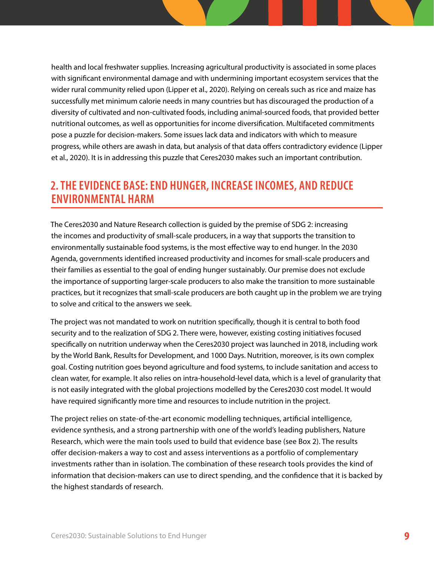<span id="page-12-0"></span>health and local freshwater supplies. Increasing agricultural productivity is associated in some places with significant environmental damage and with undermining important ecosystem services that the wider rural community relied upon (Lipper et al., 2020). Relying on cereals such as rice and maize has successfully met minimum calorie needs in many countries but has discouraged the production of a diversity of cultivated and non-cultivated foods, including animal-sourced foods, that provided better nutritional outcomes, as well as opportunities for income diversification. Multifaceted commitments pose a puzzle for decision-makers. Some issues lack data and indicators with which to measure progress, while others are awash in data, but analysis of that data offers contradictory evidence (Lipper et al., 2020). It is in addressing this puzzle that Ceres2030 makes such an important contribution.

# **2. THE EVIDENCE BASE: END HUNGER, INCREASE INCOMES, AND REDUCE ENVIRONMENTAL HARM**

The Ceres2030 and Nature Research collection is guided by the premise of SDG 2: increasing the incomes and productivity of small-scale producers, in a way that supports the transition to environmentally sustainable food systems, is the most effective way to end hunger. In the 2030 Agenda, governments identified increased productivity and incomes for small-scale producers and their families as essential to the goal of ending hunger sustainably. Our premise does not exclude the importance of supporting larger-scale producers to also make the transition to more sustainable practices, but it recognizes that small-scale producers are both caught up in the problem we are trying to solve and critical to the answers we seek.

The project was not mandated to work on nutrition specifically, though it is central to both food security and to the realization of SDG 2. There were, however, existing costing initiatives focused specifically on nutrition underway when the Ceres2030 project was launched in 2018, including work by the World Bank, Results for Development, and 1000 Days. Nutrition, moreover, is its own complex goal. Costing nutrition goes beyond agriculture and food systems, to include sanitation and access to clean water, for example. It also relies on intra-household-level data, which is a level of granularity that is not easily integrated with the global projections modelled by the Ceres2030 cost model. It would have required significantly more time and resources to include nutrition in the project.

The project relies on state-of-the-art economic modelling techniques, artificial intelligence, evidence synthesis, and a strong partnership with one of the world's leading publishers, Nature Research, which were the main tools used to build that evidence base (see Box 2). The results offer decision-makers a way to cost and assess interventions as a portfolio of complementary investments rather than in isolation. The combination of these research tools provides the kind of information that decision-makers can use to direct spending, and the confidence that it is backed by the highest standards of research.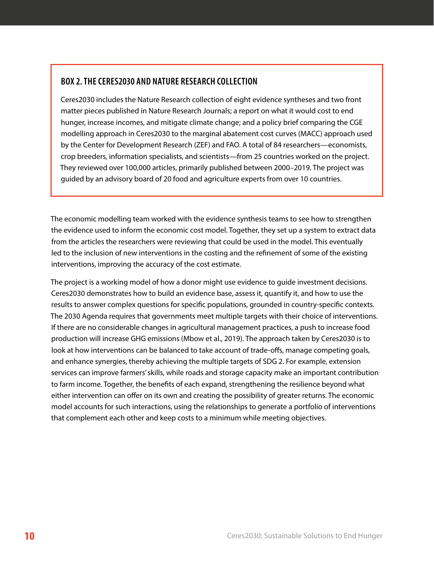## **BOX 2. THE CERES2030 AND NATURE RESEARCH COLLECTION**

Ceres2030 includes the Nature Research collection of eight evidence syntheses and two front matter pieces published in Nature Research Journals; a report on what it would cost to end hunger, increase incomes, and mitigate climate change; and a policy brief comparing the CGE modelling approach in Ceres2030 to the marginal abatement cost curves (MACC) approach used by the Center for Development Research (ZEF) and FAO. A total of 84 researchers—economists, crop breeders, information specialists, and scientists—from 25 countries worked on the project. They reviewed over 100,000 articles, primarily published between 2000–2019. The project was guided by an advisory board of 20 food and agriculture experts from over 10 countries.

The economic modelling team worked with the evidence synthesis teams to see how to strengthen the evidence used to inform the economic cost model. Together, they set up a system to extract data from the articles the researchers were reviewing that could be used in the model. This eventually led to the inclusion of new interventions in the costing and the refinement of some of the existing interventions, improving the accuracy of the cost estimate.

The project is a working model of how a donor might use evidence to guide investment decisions. Ceres2030 demonstrates how to build an evidence base, assess it, quantify it, and how to use the results to answer complex questions for specific populations, grounded in country-specific contexts. The 2030 Agenda requires that governments meet multiple targets with their choice of interventions. If there are no considerable changes in agricultural management practices, a push to increase food production will increase GHG emissions (Mbow et al., 2019). The approach taken by Ceres2030 is to look at how interventions can be balanced to take account of trade-offs, manage competing goals, and enhance synergies, thereby achieving the multiple targets of SDG 2. For example, extension services can improve farmers' skills, while roads and storage capacity make an important contribution to farm income. Together, the benefits of each expand, strengthening the resilience beyond what either intervention can offer on its own and creating the possibility of greater returns. The economic model accounts for such interactions, using the relationships to generate a portfolio of interventions that complement each other and keep costs to a minimum while meeting objectives.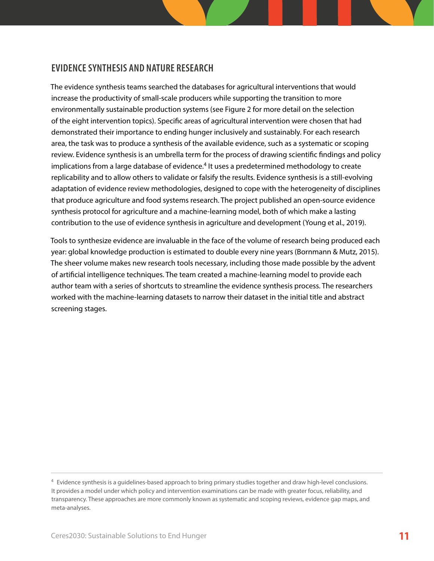## <span id="page-14-0"></span>**EVIDENCE SYNTHESIS AND NATURE RESEARCH**

The evidence synthesis teams searched the databases for agricultural interventions that would increase the productivity of small-scale producers while supporting the transition to more environmentally sustainable production systems (see Figure 2 for more detail on the selection of the eight intervention topics). Specific areas of agricultural intervention were chosen that had demonstrated their importance to ending hunger inclusively and sustainably. For each research area, the task was to produce a synthesis of the available evidence, such as a systematic or scoping review. Evidence synthesis is an umbrella term for the process of drawing scientific findings and policy implications from a large database of evidence.<sup>4</sup> It uses a predetermined methodology to create replicability and to allow others to validate or falsify the results. Evidence synthesis is a still-evolving adaptation of evidence review methodologies, designed to cope with the heterogeneity of disciplines that produce agriculture and food systems research. The project published an open-source evidence synthesis protocol for agriculture and a machine-learning model, both of which make a lasting contribution to the use of evidence synthesis in agriculture and development (Young et al., 2019).

Tools to synthesize evidence are invaluable in the face of the volume of research being produced each year: global knowledge production is estimated to double every nine years (Bornmann & Mutz, 2015). The sheer volume makes new research tools necessary, including those made possible by the advent of artificial intelligence techniques. The team created a machine-learning model to provide each author team with a series of shortcuts to streamline the evidence synthesis process. The researchers worked with the machine-learning datasets to narrow their dataset in the initial title and abstract screening stages.

<sup>&</sup>lt;sup>4</sup> Evidence synthesis is a quidelines-based approach to bring primary studies together and draw high-level conclusions. It provides a model under which policy and intervention examinations can be made with greater focus, reliability, and transparency. These approaches are more commonly known as systematic and scoping reviews, evidence gap maps, and meta-analyses.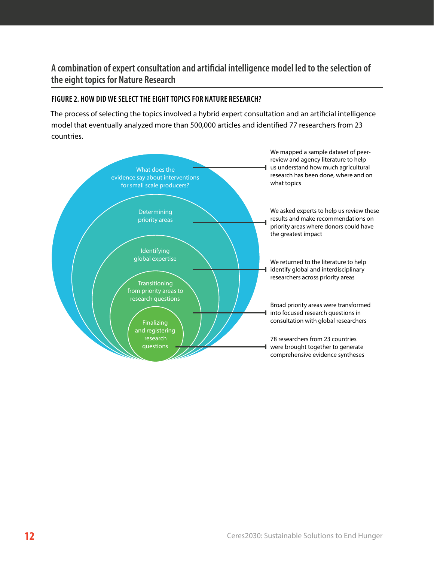## **A combination of expert consultation and artificial intelligence model led to the selection of the eight topics for Nature Research**

#### **FIGURE 2. HOW DID WE SELECT THE EIGHT TOPICS FOR NATURE RESEARCH?**

The process of selecting the topics involved a hybrid expert consultation and an artificial intelligence model that eventually analyzed more than 500,000 articles and identified 77 researchers from 23 countries.

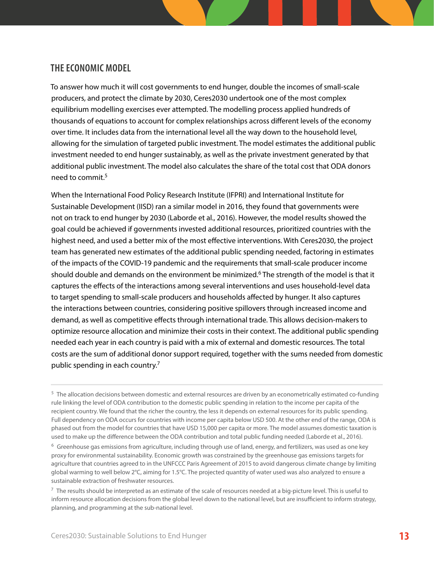## <span id="page-16-0"></span>**THE ECONOMIC MODEL**

To answer how much it will cost governments to end hunger, double the incomes of small-scale producers, and protect the climate by 2030, Ceres2030 undertook one of the most complex equilibrium modelling exercises ever attempted. The modelling process applied hundreds of thousands of equations to account for complex relationships across different levels of the economy over time. It includes data from the international level all the way down to the household level, allowing for the simulation of targeted public investment. The model estimates the additional public investment needed to end hunger sustainably, as well as the private investment generated by that additional public investment. The model also calculates the share of the total cost that ODA donors need to commit.<sup>5</sup>

When the International Food Policy Research Institute (IFPRI) and International Institute for Sustainable Development (IISD) ran a similar model in 2016, they found that governments were not on track to end hunger by 2030 (Laborde et al., 2016). However, the model results showed the goal could be achieved if governments invested additional resources, prioritized countries with the highest need, and used a better mix of the most effective interventions. With Ceres2030, the project team has generated new estimates of the additional public spending needed, factoring in estimates of the impacts of the COVID-19 pandemic and the requirements that small-scale producer income should double and demands on the environment be minimized.6 The strength of the model is that it captures the effects of the interactions among several interventions and uses household-level data to target spending to small-scale producers and households affected by hunger. It also captures the interactions between countries, considering positive spillovers through increased income and demand, as well as competitive effects through international trade. This allows decision-makers to optimize resource allocation and minimize their costs in their context. The additional public spending needed each year in each country is paid with a mix of external and domestic resources. The total costs are the sum of additional donor support required, together with the sums needed from domestic public spending in each country.7

<sup>&</sup>lt;sup>5</sup> The allocation decisions between domestic and external resources are driven by an econometrically estimated co-funding rule linking the level of ODA contribution to the domestic public spending in relation to the income per capita of the recipient country. We found that the richer the country, the less it depends on external resources for its public spending. Full dependency on ODA occurs for countries with income per capita below USD 500. At the other end of the range, ODA is phased out from the model for countries that have USD 15,000 per capita or more. The model assumes domestic taxation is used to make up the difference between the ODA contribution and total public funding needed (Laborde et al., 2016).

 $6\sigma$  Greenhouse gas emissions from agriculture, including through use of land, energy, and fertilizers, was used as one key proxy for environmental sustainability. Economic growth was constrained by the greenhouse gas emissions targets for agriculture that countries agreed to in the UNFCCC Paris Agreement of 2015 to avoid dangerous climate change by limiting global warming to well below 2°C, aiming for 1.5°C. The projected quantity of water used was also analyzed to ensure a sustainable extraction of freshwater resources.

 $^7$  The results should be interpreted as an estimate of the scale of resources needed at a big-picture level. This is useful to inform resource allocation decisions from the global level down to the national level, but are insufficient to inform strategy, planning, and programming at the sub-national level.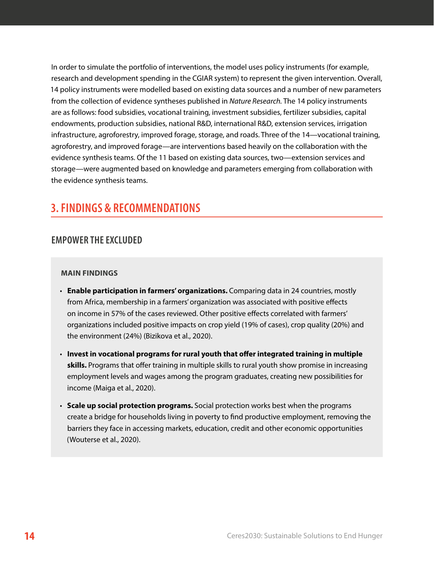<span id="page-17-0"></span>In order to simulate the portfolio of interventions, the model uses policy instruments (for example, research and development spending in the CGIAR system) to represent the given intervention. Overall, 14 policy instruments were modelled based on existing data sources and a number of new parameters from the collection of evidence syntheses published in *Nature Research.* The 14 policy instruments are as follows: food subsidies, vocational training, investment subsidies, fertilizer subsidies, capital endowments, production subsidies, national R&D, international R&D, extension services, irrigation infrastructure, agroforestry, improved forage, storage, and roads. Three of the 14—vocational training, agroforestry, and improved forage—are interventions based heavily on the collaboration with the evidence synthesis teams. Of the 11 based on existing data sources, two—extension services and storage—were augmented based on knowledge and parameters emerging from collaboration with the evidence synthesis teams.

# **3. FINDINGS & RECOMMENDATIONS**

## **EMPOWER THE EXCLUDED**

#### **MAIN FINDINGS**

- **Enable participation in farmers' organizations.** Comparing data in 24 countries, mostly from Africa, membership in a farmers' organization was associated with positive effects on income in 57% of the cases reviewed. Other positive effects correlated with farmers' organizations included positive impacts on crop yield (19% of cases), crop quality (20%) and the environment (24%) (Bizikova et al., 2020).
- **Invest in vocational programs for rural youth that offer integrated training in multiple skills.** Programs that offer training in multiple skills to rural youth show promise in increasing employment levels and wages among the program graduates, creating new possibilities for income (Maiga et al., 2020).
- **Scale up social protection programs.** Social protection works best when the programs create a bridge for households living in poverty to find productive employment, removing the barriers they face in accessing markets, education, credit and other economic opportunities (Wouterse et al., 2020).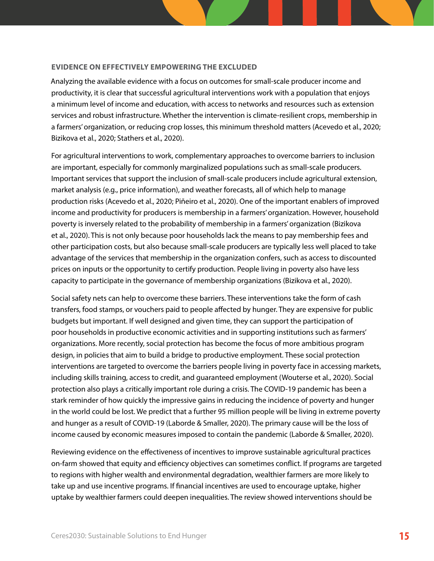#### **EVIDENCE ON EFFECTIVELY EMPOWERING THE EXCLUDED**

Analyzing the available evidence with a focus on outcomes for small-scale producer income and productivity, it is clear that successful agricultural interventions work with a population that enjoys a minimum level of income and education, with access to networks and resources such as extension services and robust infrastructure. Whether the intervention is climate-resilient crops, membership in a farmers' organization, or reducing crop losses, this minimum threshold matters (Acevedo et al., 2020; Bizikova et al., 2020; Stathers et al., 2020).

For agricultural interventions to work, complementary approaches to overcome barriers to inclusion are important, especially for commonly marginalized populations such as small-scale producers. Important services that support the inclusion of small-scale producers include agricultural extension, market analysis (e.g., price information), and weather forecasts, all of which help to manage production risks (Acevedo et al., 2020; Piñeiro et al., 2020). One of the important enablers of improved income and productivity for producers is membership in a farmers' organization. However, household poverty is inversely related to the probability of membership in a farmers' organization (Bizikova et al., 2020). This is not only because poor households lack the means to pay membership fees and other participation costs, but also because small-scale producers are typically less well placed to take advantage of the services that membership in the organization confers, such as access to discounted prices on inputs or the opportunity to certify production. People living in poverty also have less capacity to participate in the governance of membership organizations (Bizikova et al., 2020).

Social safety nets can help to overcome these barriers. These interventions take the form of cash transfers, food stamps, or vouchers paid to people affected by hunger. They are expensive for public budgets but important. If well designed and given time, they can support the participation of poor households in productive economic activities and in supporting institutions such as farmers' organizations. More recently, social protection has become the focus of more ambitious program design, in policies that aim to build a bridge to productive employment. These social protection interventions are targeted to overcome the barriers people living in poverty face in accessing markets, including skills training, access to credit, and guaranteed employment (Wouterse et al., 2020). Social protection also plays a critically important role during a crisis. The COVID-19 pandemic has been a stark reminder of how quickly the impressive gains in reducing the incidence of poverty and hunger in the world could be lost. We predict that a further 95 million people will be living in extreme poverty and hunger as a result of COVID-19 (Laborde & Smaller, 2020). The primary cause will be the loss of income caused by economic measures imposed to contain the pandemic (Laborde & Smaller, 2020).

Reviewing evidence on the effectiveness of incentives to improve sustainable agricultural practices on-farm showed that equity and efficiency objectives can sometimes conflict. If programs are targeted to regions with higher wealth and environmental degradation, wealthier farmers are more likely to take up and use incentive programs. If financial incentives are used to encourage uptake, higher uptake by wealthier farmers could deepen inequalities. The review showed interventions should be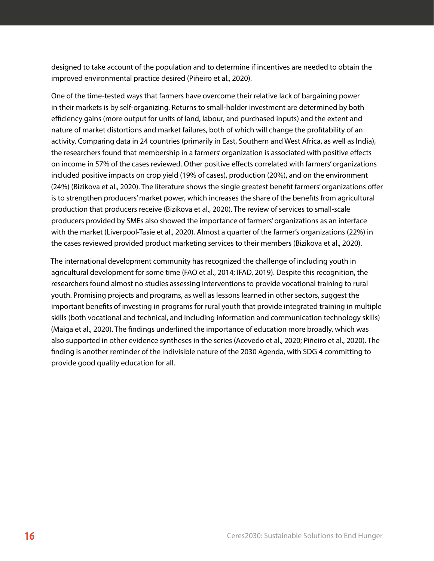designed to take account of the population and to determine if incentives are needed to obtain the improved environmental practice desired (Piñeiro et al., 2020).

One of the time-tested ways that farmers have overcome their relative lack of bargaining power in their markets is by self-organizing. Returns to small-holder investment are determined by both efficiency gains (more output for units of land, labour, and purchased inputs) and the extent and nature of market distortions and market failures, both of which will change the profitability of an activity. Comparing data in 24 countries (primarily in East, Southern and West Africa, as well as India), the researchers found that membership in a farmers' organization is associated with positive effects on income in 57% of the cases reviewed. Other positive effects correlated with farmers' organizations included positive impacts on crop yield (19% of cases), production (20%), and on the environment (24%) (Bizikova et al., 2020). The literature shows the single greatest benefit farmers' organizations offer is to strengthen producers' market power, which increases the share of the benefits from agricultural production that producers receive (Bizikova et al., 2020). The review of services to small-scale producers provided by SMEs also showed the importance of farmers' organizations as an interface with the market (Liverpool-Tasie et al., 2020). Almost a quarter of the farmer's organizations (22%) in the cases reviewed provided product marketing services to their members (Bizikova et al., 2020).

The international development community has recognized the challenge of including youth in agricultural development for some time (FAO et al., 2014; IFAD, 2019). Despite this recognition, the researchers found almost no studies assessing interventions to provide vocational training to rural youth. Promising projects and programs, as well as lessons learned in other sectors, suggest the important benefits of investing in programs for rural youth that provide integrated training in multiple skills (both vocational and technical, and including information and communication technology skills) (Maiga et al., 2020). The findings underlined the importance of education more broadly, which was also supported in other evidence syntheses in the series (Acevedo et al., 2020; Piñeiro et al., 2020). The finding is another reminder of the indivisible nature of the 2030 Agenda, with SDG 4 committing to provide good quality education for all.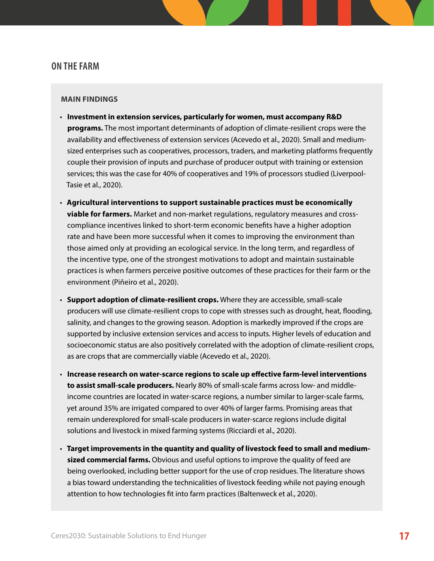#### <span id="page-20-0"></span>**ON THE FARM**

#### **MAIN FINDINGS**

- **Investment in extension services, particularly for women, must accompany R&D programs.** The most important determinants of adoption of climate-resilient crops were the availability and effectiveness of extension services (Acevedo et al., 2020). Small and mediumsized enterprises such as cooperatives, processors, traders, and marketing platforms frequently couple their provision of inputs and purchase of producer output with training or extension services; this was the case for 40% of cooperatives and 19% of processors studied (Liverpool-Tasie et al., 2020).
- **Agricultural interventions to support sustainable practices must be economically viable for farmers.** Market and non-market regulations, regulatory measures and crosscompliance incentives linked to short-term economic benefits have a higher adoption rate and have been more successful when it comes to improving the environment than those aimed only at providing an ecological service. In the long term, and regardless of the incentive type, one of the strongest motivations to adopt and maintain sustainable practices is when farmers perceive positive outcomes of these practices for their farm or the environment (Piñeiro et al., 2020).
- **Support adoption of climate-resilient crops.** Where they are accessible, small-scale producers will use climate-resilient crops to cope with stresses such as drought, heat, flooding, salinity, and changes to the growing season. Adoption is markedly improved if the crops are supported by inclusive extension services and access to inputs. Higher levels of education and socioeconomic status are also positively correlated with the adoption of climate-resilient crops, as are crops that are commercially viable (Acevedo et al., 2020).
- **Increase research on water-scarce regions to scale up effective farm-level interventions to assist small-scale producers.** Nearly 80% of small-scale farms across low- and middleincome countries are located in water-scarce regions, a number similar to larger-scale farms, yet around 35% are irrigated compared to over 40% of larger farms. Promising areas that remain underexplored for small-scale producers in water-scarce regions include digital solutions and livestock in mixed farming systems (Ricciardi et al., 2020).
- **Target improvements in the quantity and quality of livestock feed to small and mediumsized commercial farms.** Obvious and useful options to improve the quality of feed are being overlooked, including better support for the use of crop residues. The literature shows a bias toward understanding the technicalities of livestock feeding while not paying enough attention to how technologies fit into farm practices (Baltenweck et al., 2020).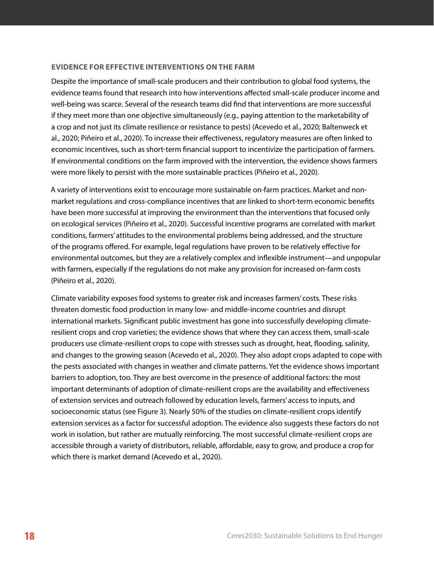#### **EVIDENCE FOR EFFECTIVE INTERVENTIONS ON THE FARM**

Despite the importance of small-scale producers and their contribution to global food systems, the evidence teams found that research into how interventions affected small-scale producer income and well-being was scarce. Several of the research teams did find that interventions are more successful if they meet more than one objective simultaneously (e.g., paying attention to the marketability of a crop and not just its climate resilience or resistance to pests) (Acevedo et al., 2020; Baltenweck et al., 2020; Piñeiro et al., 2020). To increase their effectiveness, regulatory measures are often linked to economic incentives, such as short-term financial support to incentivize the participation of farmers. If environmental conditions on the farm improved with the intervention, the evidence shows farmers were more likely to persist with the more sustainable practices (Piñeiro et al., 2020).

A variety of interventions exist to encourage more sustainable on-farm practices. Market and nonmarket regulations and cross-compliance incentives that are linked to short-term economic benefits have been more successful at improving the environment than the interventions that focused only on ecological services (Piñeiro et al., 2020). Successful incentive programs are correlated with market conditions, farmers' attitudes to the environmental problems being addressed, and the structure of the programs offered. For example, legal regulations have proven to be relatively effective for environmental outcomes, but they are a relatively complex and inflexible instrument—and unpopular with farmers, especially if the regulations do not make any provision for increased on-farm costs (Piñeiro et al., 2020).

Climate variability exposes food systems to greater risk and increases farmers' costs. These risks threaten domestic food production in many low- and middle-income countries and disrupt international markets. Significant public investment has gone into successfully developing climateresilient crops and crop varieties; the evidence shows that where they can access them, small-scale producers use climate-resilient crops to cope with stresses such as drought, heat, flooding, salinity, and changes to the growing season (Acevedo et al., 2020). They also adopt crops adapted to cope with the pests associated with changes in weather and climate patterns. Yet the evidence shows important barriers to adoption, too. They are best overcome in the presence of additional factors: the most important determinants of adoption of climate-resilient crops are the availability and effectiveness of extension services and outreach followed by education levels, farmers' access to inputs, and socioeconomic status (see Figure 3). Nearly 50% of the studies on climate-resilient crops identify extension services as a factor for successful adoption. The evidence also suggests these factors do not work in isolation, but rather are mutually reinforcing. The most successful climate-resilient crops are accessible through a variety of distributors, reliable, affordable, easy to grow, and produce a crop for which there is market demand (Acevedo et al., 2020).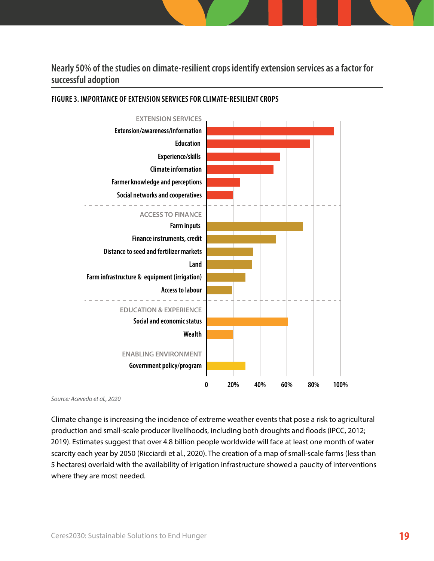**Nearly 50% of the studies on climate-resilient crops identify extension services as a factor for successful adoption**



#### **FIGURE 3. IMPORTANCE OF EXTENSION SERVICES FOR CLIMATE-RESILIENT CROPS**

*Source: Acevedo et al., 2020*

Climate change is increasing the incidence of extreme weather events that pose a risk to agricultural production and small-scale producer livelihoods, including both droughts and floods (IPCC, 2012; 2019). Estimates suggest that over 4.8 billion people worldwide will face at least one month of water scarcity each year by 2050 (Ricciardi et al., 2020). The creation of a map of small-scale farms (less than 5 hectares) overlaid with the availability of irrigation infrastructure showed a paucity of interventions where they are most needed.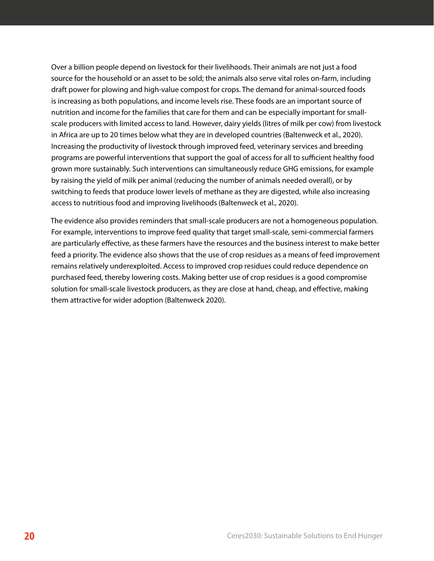Over a billion people depend on livestock for their livelihoods. Their animals are not just a food source for the household or an asset to be sold; the animals also serve vital roles on-farm, including draft power for plowing and high-value compost for crops. The demand for animal-sourced foods is increasing as both populations, and income levels rise. These foods are an important source of nutrition and income for the families that care for them and can be especially important for smallscale producers with limited access to land. However, dairy yields (litres of milk per cow) from livestock in Africa are up to 20 times below what they are in developed countries (Baltenweck et al., 2020). Increasing the productivity of livestock through improved feed, veterinary services and breeding programs are powerful interventions that support the goal of access for all to sufficient healthy food grown more sustainably. Such interventions can simultaneously reduce GHG emissions, for example by raising the yield of milk per animal (reducing the number of animals needed overall), or by switching to feeds that produce lower levels of methane as they are digested, while also increasing access to nutritious food and improving livelihoods (Baltenweck et al., 2020).

The evidence also provides reminders that small-scale producers are not a homogeneous population. For example, interventions to improve feed quality that target small-scale, semi-commercial farmers are particularly effective, as these farmers have the resources and the business interest to make better feed a priority. The evidence also shows that the use of crop residues as a means of feed improvement remains relatively underexploited. Access to improved crop residues could reduce dependence on purchased feed, thereby lowering costs. Making better use of crop residues is a good compromise solution for small-scale livestock producers, as they are close at hand, cheap, and effective, making them attractive for wider adoption (Baltenweck 2020).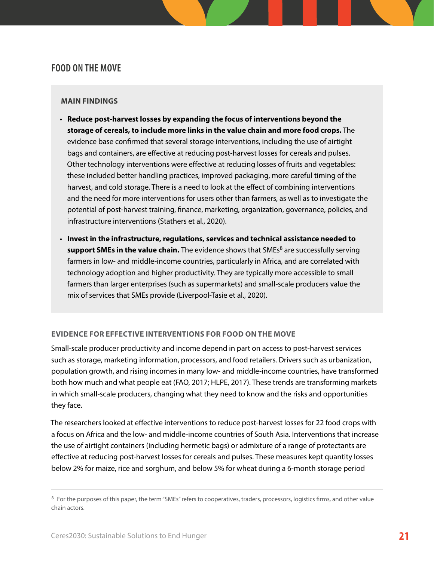## <span id="page-24-0"></span>**FOOD ON THE MOVE**

#### **MAIN FINDINGS**

- **Reduce post-harvest losses by expanding the focus of interventions beyond the storage of cereals, to include more links in the value chain and more food crops.** The evidence base confirmed that several storage interventions, including the use of airtight bags and containers, are effective at reducing post-harvest losses for cereals and pulses. Other technology interventions were effective at reducing losses of fruits and vegetables: these included better handling practices, improved packaging, more careful timing of the harvest, and cold storage. There is a need to look at the effect of combining interventions and the need for more interventions for users other than farmers, as well as to investigate the potential of post-harvest training, finance, marketing, organization, governance, policies, and infrastructure interventions (Stathers et al., 2020).
- **Invest in the infrastructure, regulations, services and technical assistance needed to support SMEs in the value chain.** The evidence shows that SMEs<sup>8</sup> are successfully serving farmers in low- and middle-income countries, particularly in Africa, and are correlated with technology adoption and higher productivity. They are typically more accessible to small farmers than larger enterprises (such as supermarkets) and small-scale producers value the mix of services that SMEs provide (Liverpool-Tasie et al., 2020).

#### **EVIDENCE FOR EFFECTIVE INTERVENTIONS FOR FOOD ON THE MOVE**

Small-scale producer productivity and income depend in part on access to post-harvest services such as storage, marketing information, processors, and food retailers. Drivers such as urbanization, population growth, and rising incomes in many low- and middle-income countries, have transformed both how much and what people eat (FAO, 2017; HLPE, 2017). These trends are transforming markets in which small-scale producers, changing what they need to know and the risks and opportunities they face.

The researchers looked at effective interventions to reduce post-harvest losses for 22 food crops with a focus on Africa and the low- and middle-income countries of South Asia. Interventions that increase the use of airtight containers (including hermetic bags) or admixture of a range of protectants are effective at reducing post-harvest losses for cereals and pulses. These measures kept quantity losses below 2% for maize, rice and sorghum, and below 5% for wheat during a 6-month storage period

<sup>&</sup>lt;sup>8</sup> For the purposes of this paper, the term "SMEs" refers to cooperatives, traders, processors, logistics firms, and other value chain actors.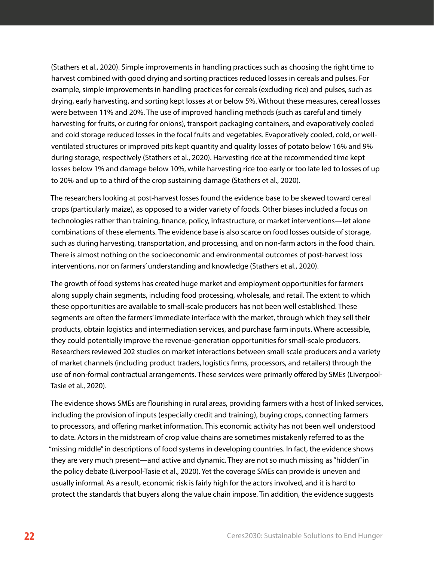(Stathers et al., 2020). Simple improvements in handling practices such as choosing the right time to harvest combined with good drying and sorting practices reduced losses in cereals and pulses. For example, simple improvements in handling practices for cereals (excluding rice) and pulses, such as drying, early harvesting, and sorting kept losses at or below 5%. Without these measures, cereal losses were between 11% and 20%. The use of improved handling methods (such as careful and timely harvesting for fruits, or curing for onions), transport packaging containers, and evaporatively cooled and cold storage reduced losses in the focal fruits and vegetables. Evaporatively cooled, cold, or wellventilated structures or improved pits kept quantity and quality losses of potato below 16% and 9% during storage, respectively (Stathers et al., 2020). Harvesting rice at the recommended time kept losses below 1% and damage below 10%, while harvesting rice too early or too late led to losses of up to 20% and up to a third of the crop sustaining damage (Stathers et al., 2020).

The researchers looking at post-harvest losses found the evidence base to be skewed toward cereal crops (particularly maize), as opposed to a wider variety of foods. Other biases included a focus on technologies rather than training, finance, policy, infrastructure, or market interventions—let alone combinations of these elements. The evidence base is also scarce on food losses outside of storage, such as during harvesting, transportation, and processing, and on non-farm actors in the food chain. There is almost nothing on the socioeconomic and environmental outcomes of post-harvest loss interventions, nor on farmers' understanding and knowledge (Stathers et al., 2020).

The growth of food systems has created huge market and employment opportunities for farmers along supply chain segments, including food processing, wholesale, and retail. The extent to which these opportunities are available to small-scale producers has not been well established. These segments are often the farmers' immediate interface with the market, through which they sell their products, obtain logistics and intermediation services, and purchase farm inputs. Where accessible, they could potentially improve the revenue-generation opportunities for small-scale producers. Researchers reviewed 202 studies on market interactions between small-scale producers and a variety of market channels (including product traders, logistics firms, processors, and retailers) through the use of non-formal contractual arrangements. These services were primarily offered by SMEs (Liverpool-Tasie et al., 2020).

The evidence shows SMEs are flourishing in rural areas, providing farmers with a host of linked services, including the provision of inputs (especially credit and training), buying crops, connecting farmers to processors, and offering market information. This economic activity has not been well understood to date. Actors in the midstream of crop value chains are sometimes mistakenly referred to as the "missing middle" in descriptions of food systems in developing countries. In fact, the evidence shows they are very much present—and active and dynamic. They are not so much missing as "hidden" in the policy debate (Liverpool-Tasie et al., 2020). Yet the coverage SMEs can provide is uneven and usually informal. As a result, economic risk is fairly high for the actors involved, and it is hard to protect the standards that buyers along the value chain impose. Tin addition, the evidence suggests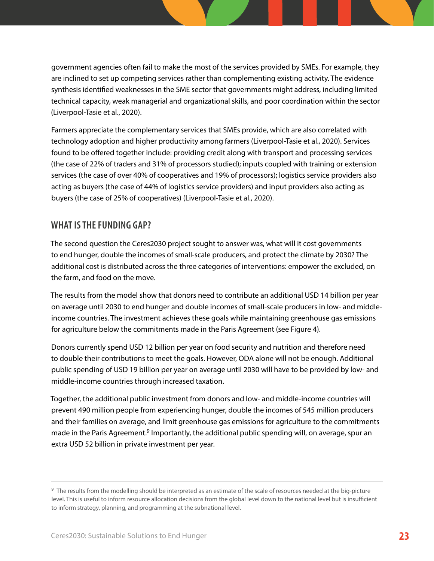<span id="page-26-0"></span>government agencies often fail to make the most of the services provided by SMEs. For example, they are inclined to set up competing services rather than complementing existing activity. The evidence synthesis identified weaknesses in the SME sector that governments might address, including limited technical capacity, weak managerial and organizational skills, and poor coordination within the sector (Liverpool-Tasie et al., 2020).

Farmers appreciate the complementary services that SMEs provide, which are also correlated with technology adoption and higher productivity among farmers (Liverpool-Tasie et al., 2020). Services found to be offered together include: providing credit along with transport and processing services (the case of 22% of traders and 31% of processors studied); inputs coupled with training or extension services (the case of over 40% of cooperatives and 19% of processors); logistics service providers also acting as buyers (the case of 44% of logistics service providers) and input providers also acting as buyers (the case of 25% of cooperatives) (Liverpool-Tasie et al., 2020).

## **WHAT IS THE FUNDING GAP?**

The second question the Ceres2030 project sought to answer was, what will it cost governments to end hunger, double the incomes of small-scale producers, and protect the climate by 2030? The additional cost is distributed across the three categories of interventions: empower the excluded, on the farm, and food on the move.

The results from the model show that donors need to contribute an additional USD 14 billion per year on average until 2030 to end hunger and double incomes of small-scale producers in low- and middleincome countries. The investment achieves these goals while maintaining greenhouse gas emissions for agriculture below the commitments made in the Paris Agreement (see Figure 4).

Donors currently spend USD 12 billion per year on food security and nutrition and therefore need to double their contributions to meet the goals. However, ODA alone will not be enough. Additional public spending of USD 19 billion per year on average until 2030 will have to be provided by low- and middle-income countries through increased taxation.

Together, the additional public investment from donors and low- and middle-income countries will prevent 490 million people from experiencing hunger, double the incomes of 545 million producers and their families on average, and limit greenhouse gas emissions for agriculture to the commitments made in the Paris Agreement.<sup>9</sup> Importantly, the additional public spending will, on average, spur an extra USD 52 billion in private investment per year.

<sup>&</sup>lt;sup>9</sup> The results from the modelling should be interpreted as an estimate of the scale of resources needed at the big-picture level. This is useful to inform resource allocation decisions from the global level down to the national level but is insufficient to inform strategy, planning, and programming at the subnational level.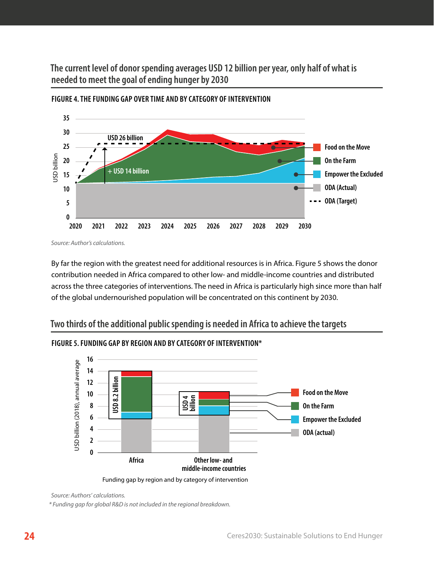**The current level of donor spending averages USD 12 billion per year, only half of what is needed to meet the goal of ending hunger by 2030**



**FIGURE 4. THE FUNDING GAP OVER TIME AND BY CATEGORY OF INTERVENTION**

*Source: Author's calculations.*

By far the region with the greatest need for additional resources is in Africa. Figure 5 shows the donor contribution needed in Africa compared to other low- and middle-income countries and distributed across the three categories of interventions. The need in Africa is particularly high since more than half of the global undernourished population will be concentrated on this continent by 2030.

## **Two thirds of the additional public spending is needed in Africa to achieve the targets**



#### **FIGURE 5. FUNDING GAP BY REGION AND BY CATEGORY OF INTERVENTION\***

*Source: Authors' calculations.*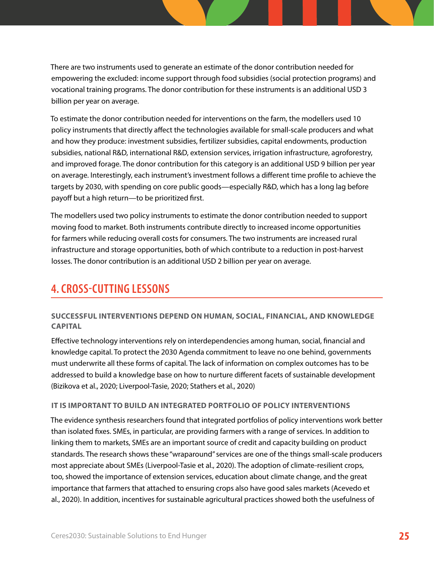<span id="page-28-0"></span>There are two instruments used to generate an estimate of the donor contribution needed for empowering the excluded: income support through food subsidies (social protection programs) and vocational training programs. The donor contribution for these instruments is an additional USD 3 billion per year on average.

To estimate the donor contribution needed for interventions on the farm, the modellers used 10 policy instruments that directly affect the technologies available for small-scale producers and what and how they produce: investment subsidies, fertilizer subsidies, capital endowments, production subsidies, national R&D, international R&D, extension services, irrigation infrastructure, agroforestry, and improved forage. The donor contribution for this category is an additional USD 9 billion per year on average. Interestingly, each instrument's investment follows a different time profile to achieve the targets by 2030, with spending on core public goods—especially R&D, which has a long lag before payoff but a high return—to be prioritized first.

The modellers used two policy instruments to estimate the donor contribution needed to support moving food to market. Both instruments contribute directly to increased income opportunities for farmers while reducing overall costs for consumers. The two instruments are increased rural infrastructure and storage opportunities, both of which contribute to a reduction in post-harvest losses. The donor contribution is an additional USD 2 billion per year on average.

# **4. CROSS-CUTTING LESSONS**

#### **SUCCESSFUL INTERVENTIONS DEPEND ON HUMAN, SOCIAL, FINANCIAL, AND KNOWLEDGE CAPITAL**

Effective technology interventions rely on interdependencies among human, social, financial and knowledge capital. To protect the 2030 Agenda commitment to leave no one behind, governments must underwrite all these forms of capital. The lack of information on complex outcomes has to be addressed to build a knowledge base on how to nurture different facets of sustainable development (Bizikova et al., 2020; Liverpool-Tasie, 2020; Stathers et al., 2020)

#### **IT IS IMPORTANT TO BUILD AN INTEGRATED PORTFOLIO OF POLICY INTERVENTIONS**

The evidence synthesis researchers found that integrated portfolios of policy interventions work better than isolated fixes. SMEs, in particular, are providing farmers with a range of services. In addition to linking them to markets, SMEs are an important source of credit and capacity building on product standards. The research shows these "wraparound" services are one of the things small-scale producers most appreciate about SMEs (Liverpool-Tasie et al., 2020). The adoption of climate-resilient crops, too, showed the importance of extension services, education about climate change, and the great importance that farmers that attached to ensuring crops also have good sales markets (Acevedo et al., 2020). In addition, incentives for sustainable agricultural practices showed both the usefulness of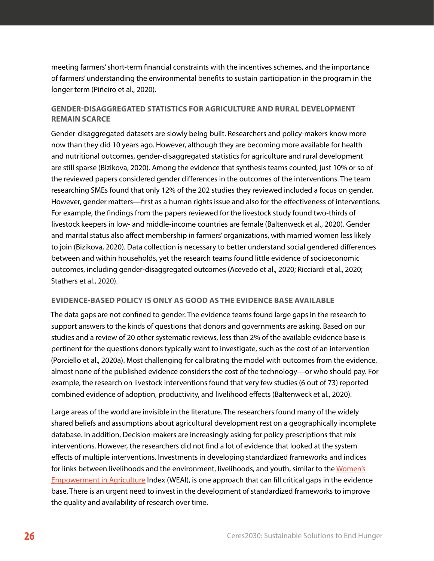meeting farmers' short-term financial constraints with the incentives schemes, and the importance of farmers' understanding the environmental benefits to sustain participation in the program in the longer term (Piñeiro et al., 2020).

#### **GENDER-DISAGGREGATED STATISTICS FOR AGRICULTURE AND RURAL DEVELOPMENT REMAIN SCARCE**

Gender-disaggregated datasets are slowly being built. Researchers and policy-makers know more now than they did 10 years ago. However, although they are becoming more available for health and nutritional outcomes, gender-disaggregated statistics for agriculture and rural development are still sparse (Bizikova, 2020). Among the evidence that synthesis teams counted, just 10% or so of the reviewed papers considered gender differences in the outcomes of the interventions. The team researching SMEs found that only 12% of the 202 studies they reviewed included a focus on gender. However, gender matters—first as a human rights issue and also for the effectiveness of interventions. For example, the findings from the papers reviewed for the livestock study found two-thirds of livestock keepers in low- and middle-income countries are female (Baltenweck et al., 2020). Gender and marital status also affect membership in farmers' organizations, with married women less likely to join (Bizikova, 2020). Data collection is necessary to better understand social gendered differences between and within households, yet the research teams found little evidence of socioeconomic outcomes, including gender-disaggregated outcomes (Acevedo et al., 2020; Ricciardi et al., 2020; Stathers et al., 2020).

#### **EVIDENCE-BASED POLICY IS ONLY AS GOOD AS THE EVIDENCE BASE AVAILABLE**

The data gaps are not confined to gender. The evidence teams found large gaps in the research to support answers to the kinds of questions that donors and governments are asking. Based on our studies and a review of 20 other systematic reviews, less than 2% of the available evidence base is pertinent for the questions donors typically want to investigate, such as the cost of an intervention (Porciello et al., 2020a). Most challenging for calibrating the model with outcomes from the evidence, almost none of the published evidence considers the cost of the technology—or who should pay. For example, the research on livestock interventions found that very few studies (6 out of 73) reported combined evidence of adoption, productivity, and livelihood effects (Baltenweck et al., 2020).

Large areas of the world are invisible in the literature. The researchers found many of the widely shared beliefs and assumptions about agricultural development rest on a geographically incomplete database. In addition, Decision-makers are increasingly asking for policy prescriptions that mix interventions. However, the researchers did not find a lot of evidence that looked at the system effects of multiple interventions. Investments in developing standardized frameworks and indices for links between livelihoods and the environment, livelihoods, and youth, similar to the [Women's](http://ifpri.org/project/weai)  [Empowerment in Agriculture](http://ifpri.org/project/weai) Index (WEAI), is one approach that can fill critical gaps in the evidence base. There is an urgent need to invest in the development of standardized frameworks to improve the quality and availability of research over time.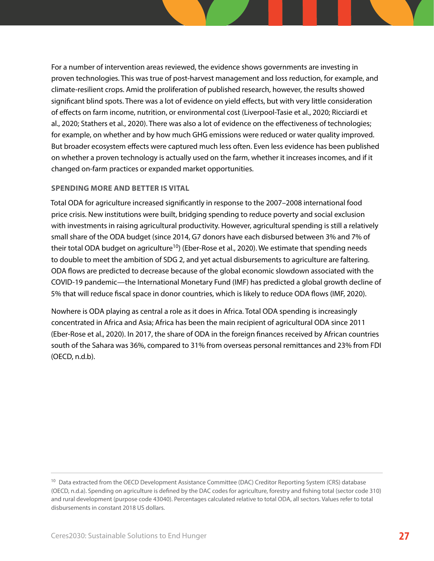For a number of intervention areas reviewed, the evidence shows governments are investing in proven technologies. This was true of post-harvest management and loss reduction, for example, and climate-resilient crops. Amid the proliferation of published research, however, the results showed significant blind spots. There was a lot of evidence on yield effects, but with very little consideration of effects on farm income, nutrition, or environmental cost (Liverpool-Tasie et al., 2020; Ricciardi et al., 2020; Stathers et al., 2020). There was also a lot of evidence on the effectiveness of technologies; for example, on whether and by how much GHG emissions were reduced or water quality improved. But broader ecosystem effects were captured much less often. Even less evidence has been published on whether a proven technology is actually used on the farm, whether it increases incomes, and if it changed on-farm practices or expanded market opportunities.

#### **SPENDING MORE AND BETTER IS VITAL**

Total ODA for agriculture increased significantly in response to the 2007–2008 international food price crisis. New institutions were built, bridging spending to reduce poverty and social exclusion with investments in raising agricultural productivity. However, agricultural spending is still a relatively small share of the ODA budget (since 2014, G7 donors have each disbursed between 3% and 7% of their total ODA budget on agriculture<sup>10</sup>) (Eber-Rose et al., 2020). We estimate that spending needs to double to meet the ambition of SDG 2, and yet actual disbursements to agriculture are faltering. ODA flows are predicted to decrease because of the global economic slowdown associated with the COVID-19 pandemic—the International Monetary Fund (IMF) has predicted a global growth decline of 5% that will reduce fiscal space in donor countries, which is likely to reduce ODA flows (IMF, 2020).

Nowhere is ODA playing as central a role as it does in Africa. Total ODA spending is increasingly concentrated in Africa and Asia; Africa has been the main recipient of agricultural ODA since 2011 (Eber-Rose et al., 2020). In 2017, the share of ODA in the foreign finances received by African countries south of the Sahara was 36%, compared to 31% from overseas personal remittances and 23% from FDI (OECD, n.d.b).

<sup>&</sup>lt;sup>10</sup> Data extracted from the OECD Development Assistance Committee (DAC) Creditor Reporting System (CRS) database (OECD, n.d.a). Spending on agriculture is defined by the DAC codes for agriculture, forestry and fishing total (sector code 310) and rural development (purpose code 43040). Percentages calculated relative to total ODA, all sectors. Values refer to total disbursements in constant 2018 US dollars.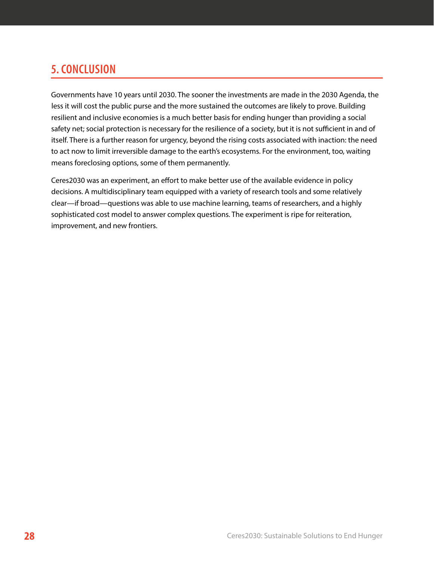# <span id="page-31-0"></span>**5. CONCLUSION**

Governments have 10 years until 2030. The sooner the investments are made in the 2030 Agenda, the less it will cost the public purse and the more sustained the outcomes are likely to prove. Building resilient and inclusive economies is a much better basis for ending hunger than providing a social safety net; social protection is necessary for the resilience of a society, but it is not sufficient in and of itself. There is a further reason for urgency, beyond the rising costs associated with inaction: the need to act now to limit irreversible damage to the earth's ecosystems. For the environment, too, waiting means foreclosing options, some of them permanently.

Ceres2030 was an experiment, an effort to make better use of the available evidence in policy decisions. A multidisciplinary team equipped with a variety of research tools and some relatively clear—if broad—questions was able to use machine learning, teams of researchers, and a highly sophisticated cost model to answer complex questions. The experiment is ripe for reiteration, improvement, and new frontiers.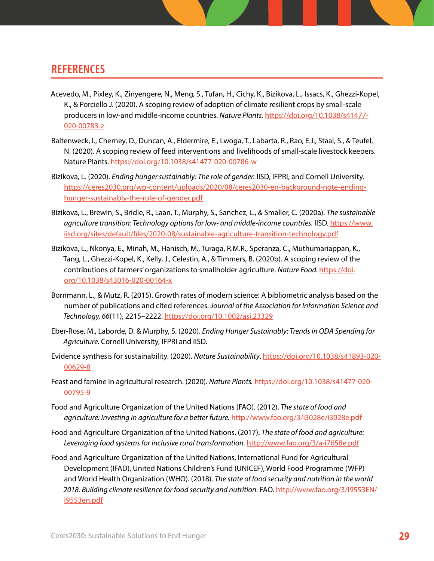## <span id="page-32-0"></span>**REFERENCES**

- Acevedo, M., Pixley, K., Zinyengere, N., Meng, S., Tufan, H., Cichy, K., Bizikova, L., Issacs, K., Ghezzi-Kopel, K., & Porciello J. (2020). A scoping review of adoption of climate resilient crops by small-scale producers in low-and middle-income countries. *Nature Plants.* [https://doi.org/10.1038/s41477-](https://10.1038/s41477-020-00783-z
) [020-00783-z](https://10.1038/s41477-020-00783-z
)
- Baltenweck, I., Cherney, D., Duncan, A., Eldermire, E., Lwoga, T., Labarta, R., Rao, E.J., Staal, S., & Teufel, N. (2020). A scoping review of feed interventions and livelihoods of small-scale livestock keepers. Nature Plants. [https://doi.org/10.1038/s41477-020-00786-w](https://10.1038/s41477-020-00786-w)
- Bizikova, L. (2020). *Ending hunger sustainably: The role of gender.* IISD, IFPRI, and Cornell University. [https://ceres2030.org/wp-content/uploads/2020/08/ceres2030-en-background-note-ending](https://ceres2030.org/wp-content/uploads/2020/08/ceres2030-en-background-note-ending-hunger-sustainably-the-role-of-gender.pdf)[hunger-sustainably-the-role-of-gender.pdf](https://ceres2030.org/wp-content/uploads/2020/08/ceres2030-en-background-note-ending-hunger-sustainably-the-role-of-gender.pdf)
- Bizikova, L., Brewin, S., Bridle, R., Laan, T., Murphy, S., Sanchez, L., & Smaller, C. (2020a). *The sustainable agriculture transition: Technology options for low- and middle-income countries.* IISD. [https://www.](https://www.iisd.org/sites/default/files/2020-08/sustainable-agriculture-transition-technology.pdf) [iisd.org/sites/default/files/2020-08/sustainable-agriculture-transition-technology.pdf](https://www.iisd.org/sites/default/files/2020-08/sustainable-agriculture-transition-technology.pdf)
- Bizikova, L., Nkonya, E., Minah, M., Hanisch, M., Turaga, R.M.R., Speranza, C., Muthumariappan, K., Tang, L., Ghezzi-Kopel, K., Kelly, J., Celestin, A., & Timmers, B. (2020b). A scoping review of the contributions of farmers' organizations to smallholder agriculture. *Nature Food.* [https://doi.](https://10.1038/s43016-020-00164-x) [org/10.1038/s43016-020-00164-x](https://10.1038/s43016-020-00164-x)
- Bornmann, L., & Mutz, R. (2015). Growth rates of modern science: A bibliometric analysis based on the number of publications and cited references. *Journal of the Association for Information Science and Technology, 66*(11), 2215–2222.<https://doi.org/10.1002/asi.23329>
- Eber-Rose, M., Laborde, D. & Murphy, S. (2020). *Ending Hunger Sustainably: Trends in ODA Spending for Agriculture.* Cornell University, IFPRI and IISD.
- Evidence synthesis for sustainability. (2020). *Nature Sustainability*. [https://doi.org/10.1038/s41893-020-](https://10.1038/s41893-020-00629-8) [00629-8](https://10.1038/s41893-020-00629-8)
- Feast and famine in agricultural research. (2020). *Nature Plants.* [https://doi.org/10.1038/s41477-020-](https://10.1038/s41477-020-00795-9) [00795-9](https://10.1038/s41477-020-00795-9)
- Food and Agriculture Organization of the United Nations (FAO). (2012). *The state of food and agriculture: Investing in agriculture for a better future.* <http://www.fao.org/3/i3028e/i3028e.pdf>
- Food and Agriculture Organization of the United Nations. (2017). *The state of food and agriculture: Leveraging food systems for inclusive rural transformation.* <http://www.fao.org/3/a-i7658e.pdf>
- Food and Agriculture Organization of the United Nations, International Fund for Agricultural Development (IFAD), United Nations Children's Fund (UNICEF), World Food Programme (WFP) and World Health Organization (WHO). (2018). *The state of food security and nutrition in the world 2018. Building climate resilience for food security and nutrition.* FAO. [http://www.fao.org/3/I9553EN/](http://www.fao.org/3/I9553EN/i9553en.pdf) [i9553en.pdf](http://www.fao.org/3/I9553EN/i9553en.pdf)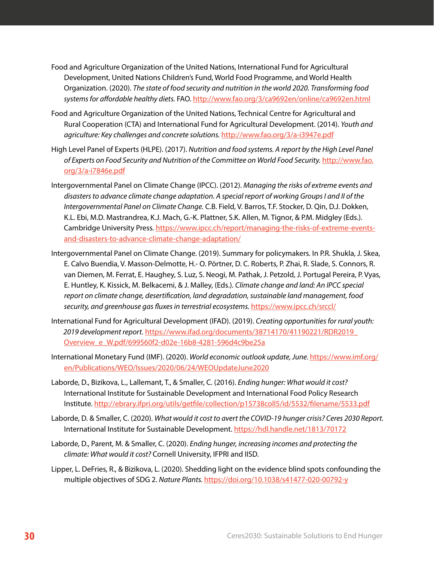- Food and Agriculture Organization of the United Nations, International Fund for Agricultural Development, United Nations Children's Fund, World Food Programme, and World Health Organization. (2020). *The state of food security and nutrition in the world 2020. Transforming food systems for affordable healthy diets.* FAO.<http://www.fao.org/3/ca9692en/online/ca9692en.html>
- Food and Agriculture Organization of the United Nations, Technical Centre for Agricultural and Rural Cooperation (CTA) and International Fund for Agricultural Development. (2014). *Youth and agriculture: Key challenges and concrete solutions.* <http://www.fao.org/3/a-i3947e.pdf>
- High Level Panel of Experts (HLPE). (2017). *Nutrition and food systems. A report by the High Level Panel of Experts on Food Security and Nutrition of the Committee on World Food Security.* [http://www.fao.](http://www.fao.org/3/a-i7846e.pdf) [org/3/a-i7846e.pdf](http://www.fao.org/3/a-i7846e.pdf)
- Intergovernmental Panel on Climate Change (IPCC). (2012). *Managing the risks of extreme events and disasters to advance climate change adaptation. A special report of working Groups I and II of the Intergovernmental Panel on Climate Change.* C.B. Field, V. Barros, T.F. Stocker, D. Qin, D.J. Dokken, K.L. Ebi, M.D. Mastrandrea, K.J. Mach, G.-K. Plattner, S.K. Allen, M. Tignor, & P.M. Midgley (Eds.). Cambridge University Press. [https://www.ipcc.ch/report/managing-the-risks-of-extreme-events](https://www.ipcc.ch/report/managing-the-risks-of-extreme-events-and-disasters-to-advance-climate-change-adaptation/)[and-disasters-to-advance-climate-change-adaptation/](https://www.ipcc.ch/report/managing-the-risks-of-extreme-events-and-disasters-to-advance-climate-change-adaptation/)
- Intergovernmental Panel on Climate Change. (2019). Summary for policymakers. In P.R. Shukla, J. Skea, E. Calvo Buendia, V. Masson-Delmotte, H.- O. Pörtner, D. C. Roberts, P. Zhai, R. Slade, S. Connors, R. van Diemen, M. Ferrat, E. Haughey, S. Luz, S. Neogi, M. Pathak, J. Petzold, J. Portugal Pereira, P. Vyas, E. Huntley, K. Kissick, M. Belkacemi, & J. Malley, (Eds.). *Climate change and land: An IPCC special report on climate change, desertification, land degradation, sustainable land management, food security, and greenhouse gas fluxes in terrestrial ecosystems.* <https://www.ipcc.ch/srccl/>
- International Fund for Agricultural Development (IFAD). (2019). *Creating opportunities for rural youth: 2019 development report.* [https://www.ifad.org/documents/38714170/41190221/RDR2019\\_](https://www.ifad.org/documents/38714170/41190221/RDR2019_Overview_e_W.pdf/699560f2-d02e-16b8-4281-596d4c9be25a) [Overview\\_e\\_W.pdf/699560f2-d02e-16b8-4281-596d4c9be25a](https://www.ifad.org/documents/38714170/41190221/RDR2019_Overview_e_W.pdf/699560f2-d02e-16b8-4281-596d4c9be25a)
- International Monetary Fund (IMF). (2020). *World economic outlook update, June.* [https://www.imf.org/](https://www.imf.org/en/Publications/WEO/Issues/2020/06/24/WEOUpdateJune2020) [en/Publications/WEO/Issues/2020/06/24/WEOUpdateJune2020](https://www.imf.org/en/Publications/WEO/Issues/2020/06/24/WEOUpdateJune2020)
- Laborde, D., Bizikova, L., Lallemant, T., & Smaller, C. (2016). *Ending hunger: What would it cost?* International Institute for Sustainable Development and International Food Policy Research Institute.<http://ebrary.ifpri.org/utils/getfile/collection/p15738coll5/id/5532/filename/5533.pdf>
- Laborde, D. & Smaller, C. (2020). *What would it cost to avert the COVID-19 hunger crisis? Ceres 2030 Report.* International Institute for Sustainable Development.<https://hdl.handle.net/1813/70172>
- Laborde, D., Parent, M. & Smaller, C. (2020). *Ending hunger, increasing incomes and protecting the climate: What would it cost?* Cornell University, IFPRI and IISD.
- Lipper, L. DeFries, R., & Bizikova, L. (2020). Shedding light on the evidence blind spots confounding the multiple objectives of SDG 2. *Nature Plants.* [https://doi.org/10.1038/s41477-020-00792-y](https://10.1038/s41477-020-00792-y)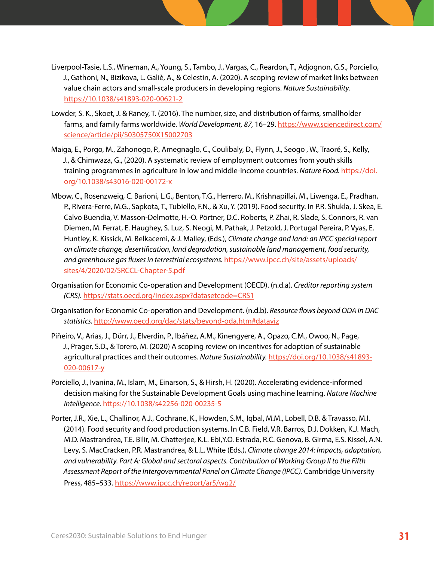- Liverpool-Tasie, L.S., Wineman, A., Young, S., Tambo, J., Vargas, C., Reardon, T., Adjognon, G.S., Porciello, J., Gathoni, N., Bizikova, L. Galiè, A., & Celestin, A. (2020). A scoping review of market links between value chain actors and small-scale producers in developing regions. *Nature Sustainability*. <https://10.1038/s41893-020-00621-2>
- Lowder, S. K., Skoet, J. & Raney, T. (2016). The number, size, and distribution of farms, smallholder farms, and family farms worldwide. *World Development, 87,* 16–29. [https://www.sciencedirect.com/](https://www.sciencedirect.com/science/article/pii/S0305750X15002703) [science/article/pii/S0305750X15002703](https://www.sciencedirect.com/science/article/pii/S0305750X15002703)
- Maiga, E., Porgo, M., Zahonogo, P., Amegnaglo, C., Coulibaly, D., Flynn, J., Seogo , W., Traoré, S., Kelly, J., & Chimwaza, G., (2020). A systematic review of employment outcomes from youth skills training programmes in agriculture in low and middle-income countries. *Nature Food.* [https://doi.](https://10.1038/s43016-020-00172-x) [org/10.1038/s43016-020-00172-x](https://10.1038/s43016-020-00172-x)
- Mbow, C., Rosenzweig, C. Barioni, L.G., Benton, T.G., Herrero, M., Krishnapillai, M., Liwenga, E., Pradhan, P., Rivera-Ferre, M.G., Sapkota, T., Tubiello, F.N., & Xu, Y. (2019). Food security. In P.R. Shukla, J. Skea, E. Calvo Buendia, V. Masson-Delmotte, H.-O. Pörtner, D.C. Roberts, P. Zhai, R. Slade, S. Connors, R. van Diemen, M. Ferrat, E. Haughey, S. Luz, S. Neogi, M. Pathak, J. Petzold, J. Portugal Pereira, P. Vyas, E. Huntley, K. Kissick, M. Belkacemi, & J. Malley, (Eds.), *Climate change and land: an IPCC special report on climate change, desertification, land degradation, sustainable land management, food security, and greenhouse gas fluxes in terrestrial ecosystems.* [https://www.ipcc.ch/site/assets/uploads/](https://www.ipcc.ch/site/assets/uploads/sites/4/2020/02/SRCCL-Chapter-5.pdf) [sites/4/2020/02/SRCCL-Chapter-5.pdf](https://www.ipcc.ch/site/assets/uploads/sites/4/2020/02/SRCCL-Chapter-5.pdf)
- Organisation for Economic Co-operation and Development (OECD). (n.d.a). *Creditor reporting system (CRS).* <https://stats.oecd.org/Index.aspx?datasetcode=CRS1>
- Organisation for Economic Co-operation and Development. (n.d.b). *Resource flows beyond ODA in DAC statistics.* <http://www.oecd.org/dac/stats/beyond-oda.htm#dataviz>
- Piñeiro, V., Arias, J., Dürr, J., Elverdin, P., Ibáñez, A.M., Kinengyere, A., Opazo, C.M., Owoo, N., Page, J., Prager, S.D., & Torero, M. (2020) A scoping review on incentives for adoption of sustainable agricultural practices and their outcomes. *Nature Sustainability.* [https://doi.org/10.1038/s41893-](https://10.1038/s41893-020-00617-y) [020-00617-y](https://10.1038/s41893-020-00617-y)
- Porciello, J., Ivanina, M., Islam, M., Einarson, S., & Hirsh, H. (2020). Accelerating evidence-informed decision making for the Sustainable Development Goals using machine learning. *Nature Machine Intelligence.* <https://10.1038/s42256-020-00235-5>
- Porter, J.R., Xie, L., Challinor, A.J., Cochrane, K., Howden, S.M., Iqbal, M.M., Lobell, D.B. & Travasso, M.I. (2014). Food security and food production systems. In C.B. Field, V.R. Barros, D.J. Dokken, K.J. Mach, M.D. Mastrandrea, T.E. Bilir, M. Chatterjee, K.L. Ebi,Y.O. Estrada, R.C. Genova, B. Girma, E.S. Kissel, A.N. Levy, S. MacCracken, P.R. Mastrandrea, & L.L. White (Eds.), *Climate change 2014: Impacts, adaptation, and vulnerability. Part A: Global and sectoral aspects. Contribution of Working Group II to the Fifth Assessment Report of the Intergovernmental Panel on Climate Change (IPCC).* Cambridge University Press, 485–533.<https://www.ipcc.ch/report/ar5/wg2/>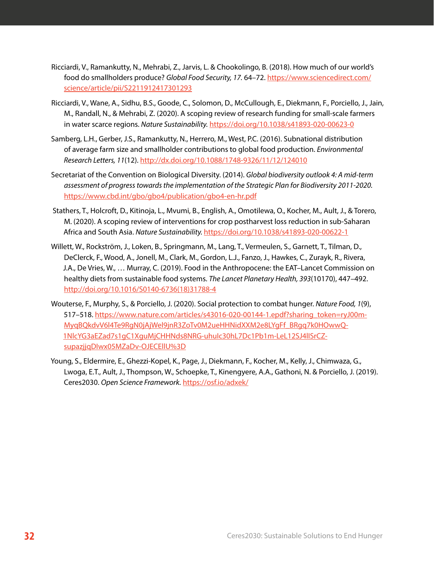- Ricciardi, V., Ramankutty, N., Mehrabi, Z., Jarvis, L. & Chookolingo, B. (2018). How much of our world's food do smallholders produce? *Global Food Security, 17.* 64–72. [https://www.sciencedirect.com/](https://www.sciencedirect.com/science/article/pii/S2211912417301293) [science/article/pii/S2211912417301293](https://www.sciencedirect.com/science/article/pii/S2211912417301293)
- Ricciardi, V., Wane, A., Sidhu, B.S., Goode, C., Solomon, D., McCullough, E., Diekmann, F., Porciello, J., Jain, M., Randall, N., & Mehrabi, Z. (2020). A scoping review of research funding for small-scale farmers in water scarce regions. *Nature Sustainability.* [https://doi.org/10.1038/s41893-020-00623-0](https://10.1038/s41893-020-00623-0)
- Samberg, L.H., Gerber, J.S., Ramankutty, N., Herrero, M., West, P.C. (2016). Subnational distribution of average farm size and smallholder contributions to global food production. *Environmental Research Letters, 11*(12). <http://dx.doi.org/10.1088/1748-9326/11/12/124010>
- Secretariat of the Convention on Biological Diversity. (2014). *Global biodiversity outlook 4: A mid-term assessment of progress towards the implementation of the Strategic Plan for Biodiversity 2011-2020.* <https://www.cbd.int/gbo/gbo4/publication/gbo4-en-hr.pdf>
- Stathers, T., Holcroft, D., Kitinoja, L., Mvumi, B., English, A., Omotilewa, O., Kocher, M., Ault, J., & Torero, M. (2020). A scoping review of interventions for crop postharvest loss reduction in sub-Saharan Africa and South Asia. *Nature Sustainability.* [https://doi.org/10.1038/s41893-020-00622-1](https://10.1038/s41893-020-00622-1)
- Willett, W., Rockström, J., Loken, B., Springmann, M., Lang, T., Vermeulen, S., Garnett, T., Tilman, D., DeClerck, F., Wood, A., Jonell, M., Clark, M., Gordon, L.J., Fanzo, J., Hawkes, C., Zurayk, R., Rivera, J.A., De Vries, W., … Murray, C. (2019). Food in the Anthropocene: the EAT–Lancet Commission on healthy diets from sustainable food systems. *The Lancet Planetary Health, 393*(10170), 447–492. [http://doi.org/10.1016/S0140-6736\(18\)31788-4](http://doi.org/10.1016/S0140-6736(18)31788-4)
- Wouterse, F., Murphy, S., & Porciello, J. (2020). Social protection to combat hunger. *Nature Food, 1*(9), 517–518. [https://www.nature.com/articles/s43016-020-00144-1.epdf?sharing\\_token=ryJ00m-](https://www.nature.com/articles/s43016-020-00144-1.epdf?sharing_token=ryJ00m-MyqBQkdvV6l4Te9RgN0jAjWel9jnR3ZoTv0M2ueHHNidXXM2e8LYgFf_BRgq7k0HOwwQ-1NlcYG3aEZad7s1gC1XguMjCHHNds8NRG-uhuIc30hL7Dc1Pb1m-LeL12SJ4lISrCZ-supazjjqDIwx05MZaDv-OJECEllU%3D)[MyqBQkdvV6l4Te9RgN0jAjWel9jnR3ZoTv0M2ueHHNidXXM2e8LYgFf\\_BRgq7k0HOwwQ-](https://www.nature.com/articles/s43016-020-00144-1.epdf?sharing_token=ryJ00m-MyqBQkdvV6l4Te9RgN0jAjWel9jnR3ZoTv0M2ueHHNidXXM2e8LYgFf_BRgq7k0HOwwQ-1NlcYG3aEZad7s1gC1XguMjCHHNds8NRG-uhuIc30hL7Dc1Pb1m-LeL12SJ4lISrCZ-supazjjqDIwx05MZaDv-OJECEllU%3D)[1NlcYG3aEZad7s1gC1XguMjCHHNds8NRG-uhuIc30hL7Dc1Pb1m-LeL12SJ4lISrCZ](https://www.nature.com/articles/s43016-020-00144-1.epdf?sharing_token=ryJ00m-MyqBQkdvV6l4Te9RgN0jAjWel9jnR3ZoTv0M2ueHHNidXXM2e8LYgFf_BRgq7k0HOwwQ-1NlcYG3aEZad7s1gC1XguMjCHHNds8NRG-uhuIc30hL7Dc1Pb1m-LeL12SJ4lISrCZ-supazjjqDIwx05MZaDv-OJECEllU%3D)[supazjjqDIwx05MZaDv-OJECEllU%3D](https://www.nature.com/articles/s43016-020-00144-1.epdf?sharing_token=ryJ00m-MyqBQkdvV6l4Te9RgN0jAjWel9jnR3ZoTv0M2ueHHNidXXM2e8LYgFf_BRgq7k0HOwwQ-1NlcYG3aEZad7s1gC1XguMjCHHNds8NRG-uhuIc30hL7Dc1Pb1m-LeL12SJ4lISrCZ-supazjjqDIwx05MZaDv-OJECEllU%3D)
- Young, S., Eldermire, E., Ghezzi-Kopel, K., Page, J., Diekmann, F., Kocher, M., Kelly, J., Chimwaza, G., Lwoga, E.T., Ault, J., Thompson, W., Schoepke, T., Kinengyere, A.A., Gathoni, N. & Porciello, J. (2019). Ceres2030. *Open Science Framework.* <https://osf.io/adxek/>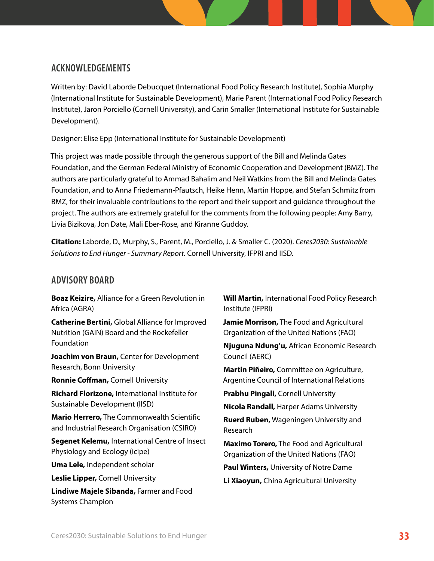## **ACKNOWLEDGEMENTS**

Written by: David Laborde Debucquet (International Food Policy Research Institute), Sophia Murphy (International Institute for Sustainable Development), Marie Parent (International Food Policy Research Institute), Jaron Porciello (Cornell University), and Carin Smaller (International Institute for Sustainable Development).

Designer: Elise Epp (International Institute for Sustainable Development)

This project was made possible through the generous support of the Bill and Melinda Gates Foundation, and the German Federal Ministry of Economic Cooperation and Development (BMZ). The authors are particularly grateful to Ammad Bahalim and Neil Watkins from the Bill and Melinda Gates Foundation, and to Anna Friedemann-Pfautsch, Heike Henn, Martin Hoppe, and Stefan Schmitz from BMZ, for their invaluable contributions to the report and their support and guidance throughout the project. The authors are extremely grateful for the comments from the following people: Amy Barry, Livia Bizikova, Jon Date, Mali Eber-Rose, and Kiranne Guddoy.

**Citation:** Laborde, D., Murphy, S., Parent, M., Porciello, J. & Smaller C. (2020). *Ceres2030: Sustainable Solutions to End Hunger - Summary Report.* Cornell University, IFPRI and IISD.

## **ADVISORY BOARD**

**Boaz Keizire,** Alliance for a Green Revolution in Africa (AGRA)

**Catherine Bertini,** Global Alliance for Improved Nutrition (GAIN) Board and the Rockefeller Foundation

**Joachim von Braun,** Center for Development Research, Bonn University

**Ronnie Coffman,** Cornell University

**Richard Florizone,** International Institute for Sustainable Development (IISD)

**Mario Herrero,** The Commonwealth Scientific and Industrial Research Organisation (CSIRO)

**Segenet Kelemu,** International Centre of Insect Physiology and Ecology (icipe)

**Uma Lele,** Independent scholar

**Leslie Lipper,** Cornell University

**Lindiwe Majele Sibanda,** Farmer and Food Systems Champion

**Will Martin,** International Food Policy Research Institute (IFPRI)

**Jamie Morrison,** The Food and Agricultural Organization of the United Nations (FAO)

**Njuguna Ndung'u,** African Economic Research Council (AERC)

**Martin Piñeiro,** Committee on Agriculture, Argentine Council of International Relations

**Prabhu Pingali,** Cornell University

**Nicola Randall,** Harper Adams University

**Ruerd Ruben,** Wageningen University and Research

**Maximo Torero,** The Food and Agricultural Organization of the United Nations (FAO)

**Paul Winters,** University of Notre Dame

**Li Xiaoyun,** China Agricultural University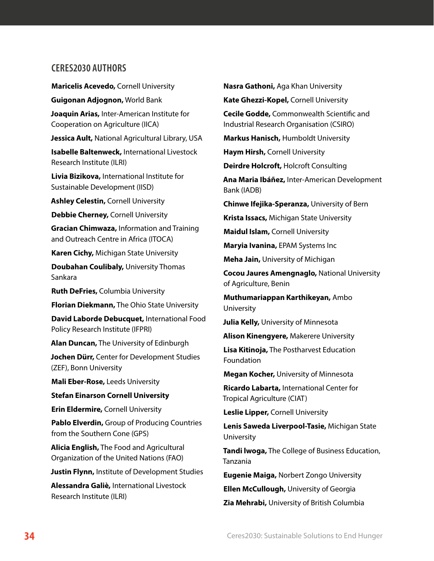## **CERES2030 AUTHORS**

**Maricelis Acevedo,** Cornell University

**Guigonan Adjognon,** World Bank

**Joaquin Arias,** Inter-American Institute for Cooperation on Agriculture (IICA)

**Jessica Ault,** National Agricultural Library, USA

**Isabelle Baltenweck,** International Livestock Research Institute (ILRI)

**Livia Bizikova,** International Institute for Sustainable Development (IISD)

**Ashley Celestin,** Cornell University

**Debbie Cherney,** Cornell University

**Gracian Chimwaza,** Information and Training and Outreach Centre in Africa (ITOCA)

**Karen Cichy,** Michigan State University

**Doubahan Coulibaly,** University Thomas Sankara

**Ruth DeFries,** Columbia University

**Florian Diekmann,** The Ohio State University

**David Laborde Debucquet,** International Food Policy Research Institute (IFPRI)

**Alan Duncan,** The University of Edinburgh

**Jochen Dürr,** Center for Development Studies (ZEF), Bonn University

**Mali Eber-Rose,** Leeds University

**Stefan Einarson Cornell University**

**Erin Eldermire,** Cornell University

**Pablo Elverdin,** Group of Producing Countries from the Southern Cone (GPS)

**Alicia English,** The Food and Agricultural Organization of the United Nations (FAO)

**Justin Flynn,** Institute of Development Studies

**Alessandra Galiè,** International Livestock Research Institute (ILRI)

**Nasra Gathoni,** Aga Khan University **Kate Ghezzi-Kopel,** Cornell University **Cecile Godde,** Commonwealth Scientific and

Industrial Research Organisation (CSIRO)

**Markus Hanisch,** Humboldt University

**Haym Hirsh,** Cornell University

**Deirdre Holcroft,** Holcroft Consulting

**Ana Maria Ibáñez,** Inter-American Development Bank (IADB)

**Chinwe Ifejika-Speranza,** University of Bern

**Krista Issacs,** Michigan State University

**Maidul Islam,** Cornell University

**Maryia Ivanina,** EPAM Systems Inc

**Meha Jain,** University of Michigan

**Cocou Jaures Amengnaglo,** National University of Agriculture, Benin

**Muthumariappan Karthikeyan,** Ambo University

**Julia Kelly,** University of Minnesota

**Alison Kinengyere,** Makerere University

**Lisa Kitinoja,** The Postharvest Education Foundation

**Megan Kocher,** University of Minnesota

**Ricardo Labarta,** International Center for Tropical Agriculture (CIAT)

**Leslie Lipper,** Cornell University

**Lenis Saweda Liverpool-Tasie,** Michigan State University

**Tandi lwoga,** The College of Business Education, Tanzania

**Eugenie Maiga,** Norbert Zongo University

**Ellen McCullough,** University of Georgia

**Zia Mehrabi,** University of British Columbia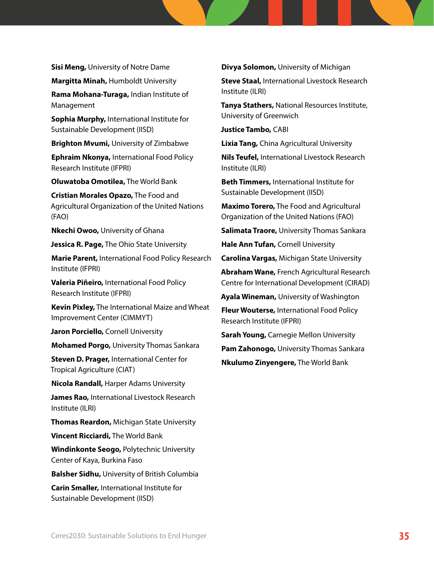**Sisi Meng,** University of Notre Dame

**Margitta Minah,** Humboldt University

**Rama Mohana-Turaga,** Indian Institute of Management

**Sophia Murphy,** International Institute for Sustainable Development (IISD)

**Brighton Mvumi,** University of Zimbabwe

**Ephraim Nkonya,** International Food Policy Research Institute (IFPRI)

**Oluwatoba Omotilea,** The World Bank

**Cristian Morales Opazo,** The Food and Agricultural Organization of the United Nations (FAO)

**Nkechi Owoo,** University of Ghana

**Jessica R. Page,** The Ohio State University

**Marie Parent,** International Food Policy Research Institute (IFPRI)

**Valeria Piñeiro,** International Food Policy Research Institute (IFPRI)

**Kevin Pixley,** The International Maize and Wheat Improvement Center (CIMMYT)

**Jaron Porciello, Cornell University** 

**Mohamed Porgo,** University Thomas Sankara

**Steven D. Prager,** International Center for Tropical Agriculture (CIAT)

**Nicola Randall,** Harper Adams University

**James Rao,** International Livestock Research Institute (ILRI)

**Thomas Reardon,** Michigan State University

**Vincent Ricciardi,** The World Bank

**Windinkonte Seogo,** Polytechnic University Center of Kaya, Burkina Faso

**Balsher Sidhu,** University of British Columbia

**Carin Smaller,** International Institute for Sustainable Development (IISD)

**Divya Solomon,** University of Michigan

**Steve Staal,** International Livestock Research Institute (ILRI)

**Tanya Stathers,** National Resources Institute, University of Greenwich

**Justice Tambo,** CABI

**Lixia Tang,** China Agricultural University

**Nils Teufel,** International Livestock Research Institute (ILRI)

**Beth Timmers,** International Institute for Sustainable Development (IISD)

**Maximo Torero,** The Food and Agricultural Organization of the United Nations (FAO)

**Salimata Traore,** University Thomas Sankara

**Hale Ann Tufan,** Cornell University

**Carolina Vargas,** Michigan State University

**Abraham Wane,** French Agricultural Research Centre for International Development (CIRAD)

**Ayala Wineman,** University of Washington

**Fleur Wouterse,** International Food Policy Research Institute (IFPRI)

**Sarah Young,** Carnegie Mellon University

**Pam Zahonogo,** University Thomas Sankara

**Nkulumo Zinyengere,** The World Bank